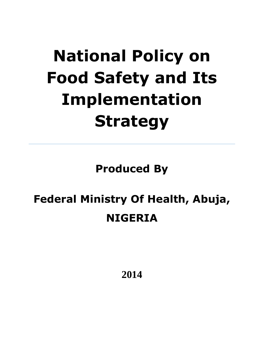# **National Policy on Food Safety and Its Implementation Strategy**

**Produced By**

# **Federal Ministry Of Health, Abuja, NIGERIA**

**2014**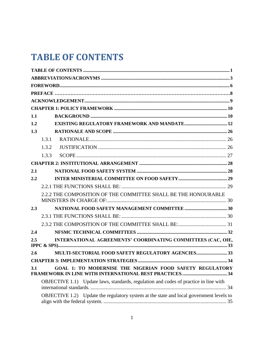# <span id="page-1-0"></span>**TABLE OF CONTENTS**

| 1.1 |                                                                                         |  |
|-----|-----------------------------------------------------------------------------------------|--|
| 1.2 |                                                                                         |  |
| 1.3 |                                                                                         |  |
|     | 1.3.1                                                                                   |  |
|     | 1.3.2                                                                                   |  |
|     | 1.3.3                                                                                   |  |
|     |                                                                                         |  |
| 2.1 |                                                                                         |  |
| 2.2 |                                                                                         |  |
|     |                                                                                         |  |
|     | 2.2.2 THE COMPOSITION OF THE COMMITTEE SHALL BE THE HONOURABLE                          |  |
| 2.3 |                                                                                         |  |
|     |                                                                                         |  |
|     |                                                                                         |  |
| 2.4 |                                                                                         |  |
| 2.5 | INTERNATIONAL AGREEMENTS' COORDINATING COMMITTEES (CAC, OIE,                            |  |
| 2.6 | <b>MULTI-SECTORIAL FOOD SAFETY REGULATORY AGENCIES33</b>                                |  |
|     |                                                                                         |  |
| 3.1 | GOAL 1: TO MODERNISE THE NIGERIAN FOOD SAFETY REGULATORY                                |  |
|     | OBJECTIVE 1.1) Update laws, standards, regulation and codes of practice in line with    |  |
|     | OBJECTIVE 1.2) Update the regulatory system at the state and local government levels to |  |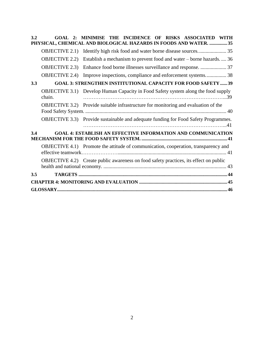| 3.2 |                       | <b>GOAL 2: MINIMISE THE INCIDENCE OF</b><br>RISKS ASSOCIATED WITH<br>PHYSICAL, CHEMICAL AND BIOLOGICAL HAZARDS IN FOODS AND WATER. 35 |  |  |  |  |
|-----|-----------------------|---------------------------------------------------------------------------------------------------------------------------------------|--|--|--|--|
|     | <b>OBJECTIVE 2.1)</b> | Identify high risk food and water borne disease sources 35                                                                            |  |  |  |  |
|     | <b>OBJECTIVE 2.2)</b> | Establish a mechanism to prevent food and water – borne hazards 36                                                                    |  |  |  |  |
|     | <b>OBJECTIVE 2.3)</b> |                                                                                                                                       |  |  |  |  |
|     | <b>OBJECTIVE 2.4)</b> | Improve inspections, compliance and enforcement systems 38                                                                            |  |  |  |  |
| 3.3 |                       | <b>GOAL 3: STRENGTHEN INSTITUTIONAL CAPACITY FOR FOOD SAFETY  39</b>                                                                  |  |  |  |  |
|     | chain.                | <b>OBJECTIVE 3.1)</b> Develop Human Capacity in Food Safety system along the food supply                                              |  |  |  |  |
|     |                       | <b>OBJECTIVE 3.2)</b> Provide suitable infrastructure for monitoring and evaluation of the                                            |  |  |  |  |
|     |                       | OBJECTIVE 3.3) Provide sustainable and adequate funding for Food Safety Programmes.                                                   |  |  |  |  |
| 3.4 |                       | <b>GOAL 4: ESTABLISH AN EFFECTIVE INFORMATION AND COMMUNICATION</b>                                                                   |  |  |  |  |
|     |                       | OBJECTIVE 4.1) Promote the attitude of communication, cooperation, transparency and                                                   |  |  |  |  |
|     |                       | <b>OBJECTIVE 4.2)</b> Create public awareness on food safety practices, its effect on public                                          |  |  |  |  |
| 3.5 |                       |                                                                                                                                       |  |  |  |  |
|     |                       |                                                                                                                                       |  |  |  |  |
|     |                       |                                                                                                                                       |  |  |  |  |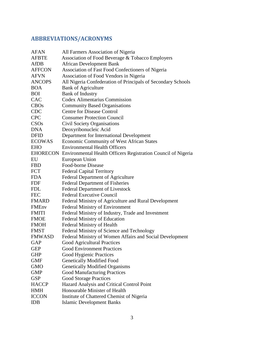# <span id="page-3-0"></span>**ABBREVIATIONS/ACRONYMS**

| <b>AFAN</b>   | All Farmers Association of Nigeria                                     |
|---------------|------------------------------------------------------------------------|
| <b>AFBTE</b>  | Association of Food Beverage & Tobacco Employers                       |
| AfDB          | <b>African Development Bank</b>                                        |
| <b>AFFCON</b> | Association of Fast Food Confectioners of Nigeria                      |
| <b>AFVN</b>   | Association of Food Vendors in Nigeria                                 |
| <b>ANCOPS</b> | All Nigeria Confederation of Principals of Secondary Schools           |
| <b>BOA</b>    | <b>Bank of Agriculture</b>                                             |
| <b>BOI</b>    | <b>Bank of Industry</b>                                                |
| <b>CAC</b>    | <b>Codex Alimentarius Commission</b>                                   |
| CBOs          | <b>Community Based Organisations</b>                                   |
| <b>CDC</b>    | <b>Centre for Disease Control</b>                                      |
| <b>CPC</b>    | <b>Consumer Protection Council</b>                                     |
| CSOs          | Civil Society Organisations                                            |
| <b>DNA</b>    | Deoxyribonucleic Acid                                                  |
| <b>DFID</b>   | Department for International Development                               |
| <b>ECOWAS</b> | Economic Community of West African States                              |
| <b>EHO</b>    | <b>Environmental Health Officers</b>                                   |
|               | EHORECON Environmental Health Officers Registration Council of Nigeria |
| EU            | European Union                                                         |
| <b>FBD</b>    | Food-borne Disease                                                     |
| <b>FCT</b>    | <b>Federal Capital Territory</b>                                       |
| <b>FDA</b>    | <b>Federal Department of Agriculture</b>                               |
| <b>FDF</b>    | Federal Department of Fisheries                                        |
| <b>FDL</b>    | Federal Department of Livestock                                        |
| <b>FEC</b>    | <b>Federal Executive Council</b>                                       |
| <b>FMARD</b>  | Federal Ministry of Agriculture and Rural Development                  |
| FMEnv         | <b>Federal Ministry of Environment</b>                                 |
| <b>FMITI</b>  | Federal Ministry of Industry, Trade and Investment                     |
| <b>FMOE</b>   | Federal Ministry of Education                                          |
| <b>FMOH</b>   | Federal Ministry of Health                                             |
| <b>FMST</b>   | Federal Ministry of Science and Technology                             |
| <b>FMWASD</b> | Federal Ministry of Women Affairs and Social Development               |
| GAP           | <b>Good Agricultural Practices</b>                                     |
| <b>GEP</b>    | <b>Good Environment Practices</b>                                      |
| <b>GHP</b>    | <b>Good Hygienic Practices</b>                                         |
| <b>GMF</b>    | <b>Genetically Modified Food</b>                                       |
| <b>GMO</b>    | <b>Genetically Modified Organisms</b>                                  |
| <b>GMP</b>    | <b>Good Manufacturing Practices</b>                                    |
| <b>GSP</b>    | <b>Good Storage Practices</b>                                          |
| <b>HACCP</b>  | Hazard Analysis and Critical Control Point                             |
| <b>HMH</b>    | Honourable Minister of Health                                          |
| <b>ICCON</b>  | Institute of Chattered Chemist of Nigeria                              |
| <b>IDB</b>    | <b>Islamic Development Banks</b>                                       |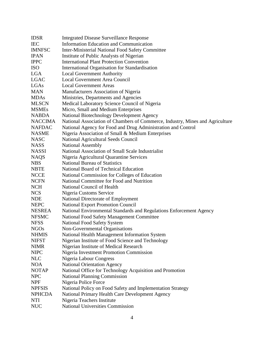| <b>IDSR</b>    | <b>Integrated Disease Surveillance Response</b>                               |
|----------------|-------------------------------------------------------------------------------|
| <b>IEC</b>     | <b>Information Education and Communication</b>                                |
| <b>IMNFSC</b>  | <b>Inter-Ministerial National Food Safety Committee</b>                       |
| <b>IPAN</b>    | Institute of Public Analysts of Nigerian                                      |
| <b>IPPC</b>    | <b>International Plant Protection Convention</b>                              |
| <b>ISO</b>     | International Organisation for Standardisation                                |
| <b>LGA</b>     | <b>Local Government Authority</b>                                             |
| <b>LGAC</b>    | <b>Local Government Area Council</b>                                          |
| LGAs           | <b>Local Government Areas</b>                                                 |
| <b>MAN</b>     | Manufacturers Association of Nigeria                                          |
| <b>MDAs</b>    | Ministries, Departments and Agencies                                          |
| <b>MLSCN</b>   | Medical Laboratory Science Council of Nigeria                                 |
| <b>MSMEs</b>   | Micro, Small and Medium Enterprises                                           |
| <b>NABDA</b>   | <b>National Biotechnology Development Agency</b>                              |
| <b>NACCIMA</b> | National Association of Chambers of Commerce, Industry, Mines and Agriculture |
| <b>NAFDAC</b>  | National Agency for Food and Drug Administration and Control                  |
| <b>NASME</b>   | Nigeria Association of Small & Medium Enterprises                             |
| <b>NASC</b>    | National Agricultural Seeds Council                                           |
| <b>NASS</b>    | <b>National Assembly</b>                                                      |
| <b>NASSI</b>   | National Association of Small Scale Industrialist                             |
| <b>NAQS</b>    | Nigeria Agricultural Quarantine Services                                      |
| <b>NBS</b>     | <b>National Bureau of Statistics</b>                                          |
| <b>NBTE</b>    | National Board of Technical Education                                         |
| <b>NCCE</b>    | National Commission for Colleges of Education                                 |
| <b>NCFN</b>    | National Committee for Food and Nutrition                                     |
| <b>NCH</b>     | National Council of Health                                                    |
| <b>NCS</b>     |                                                                               |
| <b>NDE</b>     | Nigeria Customs Service                                                       |
| <b>NEPC</b>    | National Directorate of Employment                                            |
| <b>NESREA</b>  | National Export Promotion Council                                             |
|                | National Environmental Standards and Regulations Enforcement Agency           |
| <b>NFSMC</b>   | National Food Safety Management Committee                                     |
| <b>NFSS</b>    | <b>National Food Safety System</b>                                            |
| <b>NGOs</b>    | Non-Governmental Organisations                                                |
| <b>NHMIS</b>   | National Health Management Information System                                 |
| <b>NIFST</b>   | Nigerian Institute of Food Science and Technology                             |
| <b>NIMR</b>    | Nigerian Institute of Medical Research                                        |
| <b>NIPC</b>    | Nigeria Investment Promotion Commission                                       |
| <b>NLC</b>     | Nigeria Labour Congress                                                       |
| <b>NOA</b>     | <b>National Orientation Agency</b>                                            |
| <b>NOTAP</b>   | National Office for Technology Acquisition and Promotion                      |
| <b>NPC</b>     | <b>National Planning Commission</b>                                           |
| <b>NPF</b>     | Nigeria Police Force                                                          |
| <b>NPFSIS</b>  | National Policy on Food Safety and Implementation Strategy                    |
| <b>NPHCDA</b>  | National Primary Health Care Development Agency                               |
| <b>NTI</b>     | Nigeria Teachers Institute                                                    |
| <b>NUC</b>     | <b>National Universities Commission</b>                                       |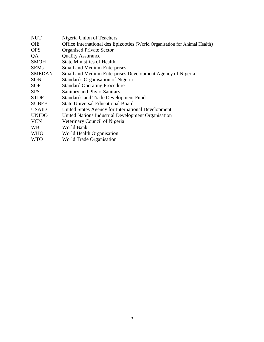| <b>NUT</b>    | Nigeria Union of Teachers                                                  |
|---------------|----------------------------------------------------------------------------|
| <b>OIE</b>    | Office International des Epizooties (World Organisation for Animal Health) |
| <b>OPS</b>    | <b>Organised Private Sector</b>                                            |
| QA            | <b>Quality Assurance</b>                                                   |
| <b>SMOH</b>   | <b>State Ministries of Health</b>                                          |
| <b>SEMs</b>   | <b>Small and Medium Enterprises</b>                                        |
| <b>SMEDAN</b> | Small and Medium Enterprises Development Agency of Nigeria                 |
| <b>SON</b>    | Standards Organisation of Nigeria                                          |
| <b>SOP</b>    | <b>Standard Operating Procedure</b>                                        |
| <b>SPS</b>    | Sanitary and Phyto-Sanitary                                                |
| <b>STDF</b>   | <b>Standards and Trade Development Fund</b>                                |
| <b>SUBEB</b>  | <b>State Universal Educational Board</b>                                   |
| <b>USAID</b>  | United States Agency for International Development                         |
| <b>UNIDO</b>  | United Nations Industrial Development Organisation                         |
| <b>VCN</b>    | Veterinary Council of Nigeria                                              |
| <b>WB</b>     | World Bank                                                                 |
| <b>WHO</b>    | World Health Organisation                                                  |
| <b>WTO</b>    | <b>World Trade Organisation</b>                                            |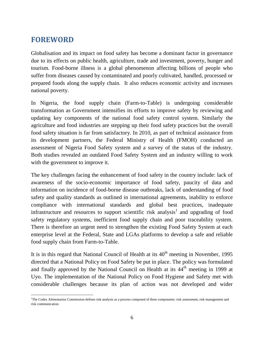### <span id="page-6-0"></span>**FOREWORD**

Globalisation and its impact on food safety has become a dominant factor in governance due to its effects on public health, agriculture, trade and investment, poverty, hunger and tourism. Food-borne illness is a global phenomenon affecting billions of people who suffer from diseases caused by contaminated and poorly cultivated, handled, processed or prepared foods along the supply chain. It also reduces economic activity and increases national poverty.

In Nigeria, the food supply chain (Farm-to-Table) is undergoing considerable transformation as Government intensifies its efforts to improve safety by reviewing and updating key components of the national food safety control system. Similarly the agriculture and food industries are stepping up their food safety practices but the overall food safety situation is far from satisfactory. In 2010, as part of technical assistance from its development partners, the Federal Ministry of Health (FMOH) conducted an assessment of Nigeria Food Safety system and a survey of the status of the industry. Both studies revealed an outdated Food Safety System and an industry willing to work with the government to improve it.

The key challenges facing the enhancement of food safety in the country include: lack of awareness of the socio-economic importance of food safety, paucity of data and information on incidence of food-borne disease outbreaks, lack of understanding of food safety and quality standards as outlined in international agreements, inability to enforce compliance with international standards and global best practices, inadequate infrastructure and resources to support scientific risk analysis<sup>1</sup> and upgrading of food safety regulatory systems, inefficient food supply chain and poor traceability system. There is therefore an urgent need to strengthen the existing Food Safety System at each enterprise level at the Federal, State and LGAs platforms to develop a safe and reliable food supply chain from Farm-to-Table.

It is in this regard that National Council of Health at its  $40<sup>th</sup>$  meeting in November, 1995 directed that a National Policy on Food Safety be put in place. The policy was formulated and finally approved by the National Council on Health at its  $44<sup>th</sup>$  meeting in 1999 at Uyo. The implementation of the National Policy on Food Hygiene and Safety met with considerable challenges because its plan of action was not developed and wider

 $\overline{a}$ <sup>1</sup>The Codex Alimentarius Commission defines risk analysis as a process composed of three components: risk assessment, risk management and risk communication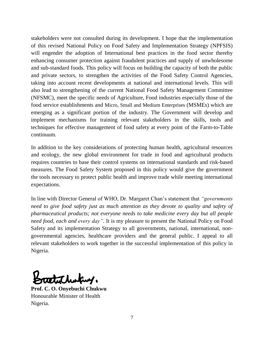stakeholders were not consulted during its development. I hope that the implementation of this revised National Policy on Food Safety and Implementation Strategy (NPFSIS) will engender the adoption of International best practices in the food sector thereby enhancing consumer protection against fraudulent practices and supply of unwholesome and sub-standard foods. This policy will focus on building the capacity of both the public and private sectors, to strengthen the activities of the Food Safety Control Agencies, taking into account recent developments at national and international levels. This will also lead to strengthening of the current National Food Safety Management Committee (NFSMC), meet the specific needs of Agriculture, Food industries especially those of the food service establishments and Micro, Small and Medium Enterprises (MSMEs) which are emerging as a significant portion of the industry. The Government will develop and implement mechanisms for training relevant stakeholders in the skills, tools and techniques for effective management of food safety at every point of the Farm-to-Table continuum.

In addition to the key considerations of protecting human health, agricultural resources and ecology, the new global environment for trade in food and agricultural products requires countries to base their control systems on international standards and risk-based measures. The Food Safety System proposed in this policy would give the government the tools necessary to protect public health and improve trade while meeting international expectations.

In line with Director General of WHO, Dr. Margaret Chan's statement that *"governments need to give food safety just as much attention as they devote to quality and safety of pharmaceutical products; not everyone needs to take medicine every day but all people need food, each and every day"*. It is my pleasure to present the National Policy on Food Safety and its implementation Strategy to all governments, national, international, nongovernmental agencies, healthcare providers and the general public. I appeal to all relevant stakeholders to work together in the successful implementation of this policy in Nigeria.

**Prof. C. O. Onyebuchi Chukwu** Honourable Minister of Health Nigeria.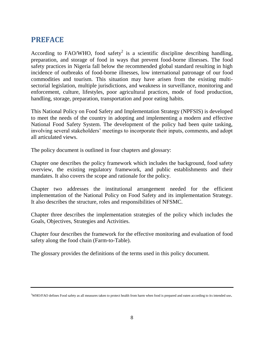# <span id="page-8-0"></span>**PREFACE**

According to FAO/WHO, food safety<sup>2</sup> is a scientific discipline describing handling, preparation, and storage of food in ways that prevent food-borne illnesses. The food safety practices in Nigeria fall below the recommended global standard resulting in high incidence of outbreaks of food-borne illnesses, low international patronage of our food commodities and tourism. This situation may have arisen from the existing multisectorial legislation, multiple jurisdictions, and weakness in surveillance, monitoring and enforcement, culture, lifestyles, poor agricultural practices, mode of food production, handling, storage, preparation, transportation and poor eating habits.

This National Policy on Food Safety and Implementation Strategy (NPFSIS) is developed to meet the needs of the country in adopting and implementing a modern and effective National Food Safety System. The development of the policy had been quite tasking, involving several stakeholders' meetings to incorporate their inputs, comments, and adopt all articulated views.

The policy document is outlined in four chapters and glossary:

Chapter one describes the policy framework which includes the background, food safety overview, the existing regulatory framework, and public establishments and their mandates. It also covers the scope and rationale for the policy.

Chapter two addresses the institutional arrangement needed for the efficient implementation of the National Policy on Food Safety and its implementation Strategy. It also describes the structure, roles and responsibilities of NFSMC.

Chapter three describes the implementation strategies of the policy which includes the Goals, Objectives, Strategies and Activities.

Chapter four describes the framework for the effective monitoring and evaluation of food safety along the food chain (Farm-to-Table).

The glossary provides the definitions of the terms used in this policy document.

<sup>&</sup>lt;sup>2</sup>WHO/FAO defines Food safety as all measures taken to protect health from harm when food is prepared and eaten according to its intended use.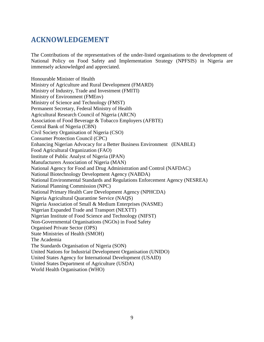## <span id="page-9-0"></span>**ACKNOWLEDGEMENT**

The Contributions of the representatives of the under-listed organisations to the development of National Policy on Food Safety and Implementation Strategy (NPFSIS) in Nigeria are immensely acknowledged and appreciated.

Honourable Minister of Health Ministry of Agriculture and Rural Development (FMARD) Ministry of Industry, Trade and Investment (FMITI) Ministry of Environment (FMEnv) Ministry of Science and Technology (FMST) Permanent Secretary, Federal Ministry of Health Agricultural Research Council of Nigeria (ARCN) Association of Food Beverage & Tobacco Employers (AFBTE) Central Bank of Nigeria (CBN) Civil Society Organisation of Nigeria (CSO) Consumer Protection Council (CPC) Enhancing Nigerian Advocacy for a Better Business Environment (ENABLE) Food Agricultural Organization (FAO) Institute of Public Analyst of Nigeria (IPAN) Manufacturers Association of Nigeria (MAN) National Agency for Food and Drug Administration and Control (NAFDAC) National Biotechnology Development Agency (NABDA) National Environmental Standards and Regulations Enforcement Agency (NESREA) National Planning Commission (NPC) National Primary Health Care Development Agency (NPHCDA) Nigeria Agricultural Quarantine Service (NAQS) Nigeria Association of Small & Medium Enterprises (NASME) Nigerian Expanded Trade and Transport (NEXTT) Nigerian Institute of Food Science and Technology (NIFST) Non-Governmental Organisations (NGOs) in Food Safety Organised Private Sector (OPS) State Ministries of Health (SMOH) The Academia The Standards Organisation of Nigeria (SON) United Nations for Industrial Development Organisation (UNIDO) United States Agency for International Development (USAID) United States Department of Agriculture (USDA)

World Health Organisation (WHO)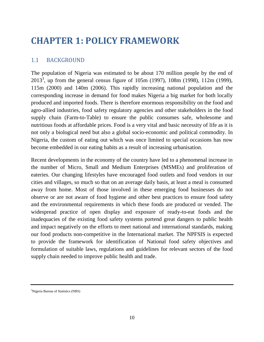# <span id="page-10-1"></span><span id="page-10-0"></span>**CHAPTER 1: POLICY FRAMEWORK**

#### 1.1 BACKGROUND

The population of Nigeria was estimated to be about 170 million people by the end of 2013<sup>3</sup>, up from the general census figure of 105m (1997), 108m (1998), 112m (1999), 115m (2000) and 140m (2006). This rapidly increasing national population and the corresponding increase in demand for food makes Nigeria a big market for both locally produced and imported foods. There is therefore enormous responsibility on the food and agro-allied industries, food safety regulatory agencies and other stakeholders in the food supply chain (Farm-to-Table) to ensure the public consumes safe, wholesome and nutritious foods at affordable prices. Food is a very vital and basic necessity of life as it is not only a biological need but also a global socio-economic and political commodity. In Nigeria, the custom of eating out which was once limited to special occasions has now become embedded in our eating habits as a result of increasing urbanisation.

Recent developments in the economy of the country have led to a phenomenal increase in the number of Micro, Small and Medium Enterprises (MSMEs) and proliferation of eateries. Our changing lifestyles have encouraged food outlets and food vendors in our cities and villages, so much so that on an average daily basis, at least a meal is consumed away from home. Most of those involved in these emerging food businesses do not observe or are not aware of food hygiene and other best practices to ensure food safety and the environmental requirements in which these foods are produced or vended. The widespread practice of open display and exposure of ready-to-eat foods and the inadequacies of the existing food safety systems portend great dangers to public health and impact negatively on the efforts to meet national and international standards, making our food products non-competitive in the International market. The NPFSIS is expected to provide the framework for identification of National food safety objectives and formulation of suitable laws, regulations and guidelines for relevant sectors of the food supply chain needed to improve public health and trade.

<sup>&</sup>lt;sup>3</sup>Nigeria Bureau of Statistics (NBS)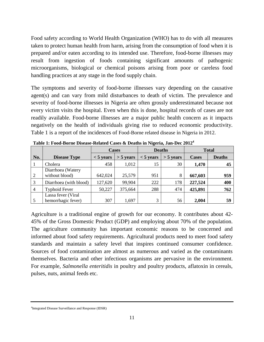Food safety according to World Health Organization (WHO) has to do with all measures taken to protect human health from harm, arising from the consumption of food when it is prepared and/or eaten according to its intended use. Therefore, food-borne illnesses may result from ingestion of foods containing significant amounts of pathogenic microorganisms, biological or chemical poisons arising from poor or careless food handling practices at any stage in the food supply chain.

The symptoms and severity of food-borne illnesses vary depending on the causative agent(s) and can vary from mild disturbances to death of victim. The prevalence and severity of food-borne illnesses in Nigeria are often grossly underestimated because not every victim visits the hospital. Even when this is done, hospital records of cases are not readily available. Food-borne illnesses are a major public health concern as it impacts negatively on the health of individuals giving rise to reduced economic productivity. Table 1 is a report of the incidences of Food-Borne related disease in Nigeria in 2012.

|                |                        | <b>Cases</b> |             | <b>Deaths</b> |             | <b>Total</b> |               |
|----------------|------------------------|--------------|-------------|---------------|-------------|--------------|---------------|
| No.            | <b>Disease Type</b>    | $< 5$ years  | $>$ 5 years | $< 5$ years   | $>$ 5 years | <b>Cases</b> | <b>Deaths</b> |
|                | Cholera                | 458          | 1,012       | 15            | 30          | 1,470        | 45            |
|                | Diarrhoea (Watery      |              |             |               |             |              |               |
| $\overline{2}$ | without blood)         | 642,024      | 25,579      | 951           | 8           | 667,603      | 959           |
| 3              | Diarrhoea (with blood) | 127,620      | 99,904      | 222           | 178         | 227,524      | 400           |
| $\overline{4}$ | <b>Typhoid Fever</b>   | 50,227       | 375,664     | 288           | 474         | 425,891      | 762           |
|                | Lassa fever (Viral     |              |             |               |             |              |               |
|                | hemorrhagic fever)     | 307          | 1,697       | 3             | 56          | 2,004        | 59            |

**Table 1: Food-Borne Disease-Related Cases & Deaths in Nigeria, Jan-Dec 2012<sup>4</sup>**

Agriculture is a traditional engine of growth for our economy. It contributes about 42- 45% of the Gross Domestic Product (GDP) and employing about 70% of the population. The agriculture community has important economic reasons to be concerned and informed about food safety requirements. Agricultural products need to meet food safety standards and maintain a safety level that inspires continued consumer confidence. Sources of food contamination are almost as numerous and varied as the contaminants themselves. Bacteria and other infectious organisms are pervasive in the environment. For example, *Salmonella enteritidis* in poultry and poultry products, aflatoxin in cereals, pulses, nuts, animal feeds etc.

<sup>&</sup>lt;sup>4</sup>Integrated Disease Surveillance and Response (IDSR)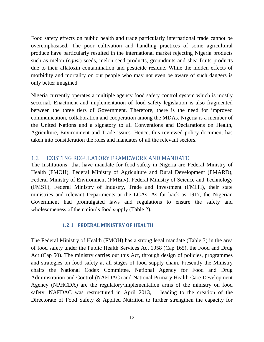Food safety effects on public health and trade particularly international trade cannot be overemphasised. The poor cultivation and handling practices of some agricultural produce have particularly resulted in the international market rejecting Nigeria products such as melon (*egusi*) seeds, melon seed products, groundnuts and shea fruits products due to their aflatoxin contamination and pesticide residue. While the hidden effects of morbidity and mortality on our people who may not even be aware of such dangers is only better imagined.

Nigeria currently operates a multiple agency food safety control system which is mostly sectorial. Enactment and implementation of food safety legislation is also fragmented between the three tiers of Government. Therefore, there is the need for improved communication, collaboration and cooperation among the MDAs. Nigeria is a member of the United Nations and a signatory to all Conventions and Declarations on Health, Agriculture, Environment and Trade issues. Hence, this reviewed policy document has taken into consideration the roles and mandates of all the relevant sectors.

#### <span id="page-12-0"></span>1.2 EXISTING REGULATORY FRAMEWORK AND MANDATE

The Institutions that have mandate for food safety in Nigeria are Federal Ministry of Health (FMOH), Federal Ministry of Agriculture and Rural Development (FMARD), Federal Ministry of Environment (FMEnv), Federal Ministry of Science and Technology (FMST), Federal Ministry of Industry, Trade and Investment (FMITI), their state ministries and relevant Departments at the LGAs. As far back as 1917, the Nigerian Government had promulgated laws and regulations to ensure the safety and wholesomeness of the nation's food supply (Table 2).

#### **1.2.1 FEDERAL MINISTRY OF HEALTH**

The Federal Ministry of Health (FMOH) has a strong legal mandate (Table 3) in the area of food safety under the Public Health Services Act 1958 (Cap 165), the Food and Drug Act (Cap 50). The ministry carries out this Act, through design of policies, programmes and strategies on food safety at all stages of food supply chain. Presently the Ministry chairs the National Codex Committee. National Agency for Food and Drug Administration and Control (NAFDAC) and National Primary Health Care Development Agency (NPHCDA) are the regulatory/implementation arms of the ministry on food safety. NAFDAC was restructured in April 2013, leading to the creation of the Directorate of Food Safety & Applied Nutrition to further strengthen the capacity for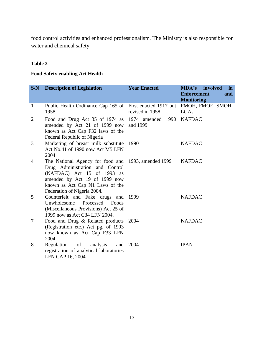food control activities and enhanced professionalism. The Ministry is also responsible for water and chemical safety.

#### **Table 2**

#### **Food Safety enabling Act Health**

| S/N            | <b>Description of Legislation</b>                                                                                                                                                                    | <b>Year Enacted</b>                       | <b>MDA's</b> involved<br>in<br><b>Enforcement</b><br>and<br><b>Monitoring</b> |
|----------------|------------------------------------------------------------------------------------------------------------------------------------------------------------------------------------------------------|-------------------------------------------|-------------------------------------------------------------------------------|
| 1              | Public Health Ordinance Cap 165 of<br>1958                                                                                                                                                           | First enacted 1917 but<br>revised in 1958 | FMOH, FMOE, SMOH,<br>LGAs                                                     |
| $\overline{2}$ | Food and Drug Act 35 of 1974 as<br>amended by Act 21 of 1999 now<br>known as Act Cap F32 laws of the<br>Federal Republic of Nigeria                                                                  | 1974 amended 1990 NAFDAC<br>and 1999      |                                                                               |
| 3              | Marketing of breast milk substitute<br>Act No.41 of 1990 now Act M5 LFN<br>2004                                                                                                                      | 1990                                      | <b>NAFDAC</b>                                                                 |
| 4              | The National Agency for food and<br>Drug Administration and Control<br>(NAFDAC) Act 15 of 1993 as<br>amended by Act 19 of 1999 now<br>known as Act Cap N1 Laws of the<br>Federation of Nigeria 2004. | 1993, amended 1999                        | <b>NAFDAC</b>                                                                 |
| 5              | Counterfeit and Fake drugs and<br>Unwholesome Processed Foods<br>(Miscellaneous Provisions) Act 25 of<br>1999 now as Act C34 LFN 2004.                                                               | 1999                                      | <b>NAFDAC</b>                                                                 |
| $\tau$         | Food and Drug & Related products<br>(Registration etc.) Act pg. of 1993<br>now known as Act Cap F33 LFN<br>2004                                                                                      | 2004                                      | <b>NAFDAC</b>                                                                 |
| 8              | Regulation of<br>analysis<br>and<br>registration of analytical laboratories<br>LFN CAP 16, 2004                                                                                                      | 2004                                      | <b>IPAN</b>                                                                   |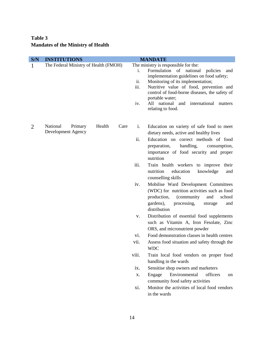#### **Table 3 Mandates of the Ministry of Health**

| S/N | <b>INSTITUTIONS</b>                                         |       | <b>MANDATE</b>                                                                                                                                                                                   |  |  |
|-----|-------------------------------------------------------------|-------|--------------------------------------------------------------------------------------------------------------------------------------------------------------------------------------------------|--|--|
| 1   | The Federal Ministry of Health (FMOH)                       |       | The ministry is responsible for the:                                                                                                                                                             |  |  |
|     |                                                             | i.    | Formulation<br>of national<br>policies<br>and<br>implementation guidelines on food safety;                                                                                                       |  |  |
|     |                                                             | ii.   | Monitoring of its implementation;                                                                                                                                                                |  |  |
|     |                                                             | iii.  | Nutritive value of food, prevention and<br>control of food-borne diseases, the safety of<br>portable water;                                                                                      |  |  |
|     |                                                             | iv.   | All national and<br>international<br>matters<br>relating to food.                                                                                                                                |  |  |
| 2   | National<br>Health<br>Primary<br>Care<br>Development Agency | i.    | Education on variety of safe food to meet<br>dietary needs, active and healthy lives                                                                                                             |  |  |
|     |                                                             | ii.   | Education on correct methods of food<br>handling,<br>preparation,<br>consumption,<br>importance of food security and proper<br>nutrition                                                         |  |  |
|     |                                                             | iii.  | Train health workers to improve<br>their<br>nutrition<br>education<br>knowledge<br>and<br>counselling skills                                                                                     |  |  |
|     |                                                             | iv.   | Mobilise Ward Development Committees<br>(WDC) for nutrition activities such as food<br>production,<br>(community)<br>school<br>and<br>gardens),<br>processing,<br>storage<br>and<br>distribution |  |  |
|     |                                                             | V.    | Distribution of essential food supplements<br>such as Vitamin A, Iron Fesolate, Zinc<br>ORS, and micronutrient powder                                                                            |  |  |
|     |                                                             | vi.   | Food demonstration classes in health centres                                                                                                                                                     |  |  |
|     |                                                             | vii.  | Assess food situation and safety through the<br><b>WDC</b>                                                                                                                                       |  |  |
|     |                                                             | viii. | Train local food vendors on proper food<br>handling in the wards                                                                                                                                 |  |  |
|     |                                                             | ix.   | Sensitise shop owners and marketers                                                                                                                                                              |  |  |
|     |                                                             | X.    | Environmental<br>Engage<br>officers<br>on<br>community food safety activities                                                                                                                    |  |  |
|     |                                                             | xi.   | Monitor the activities of local food vendors<br>in the wards                                                                                                                                     |  |  |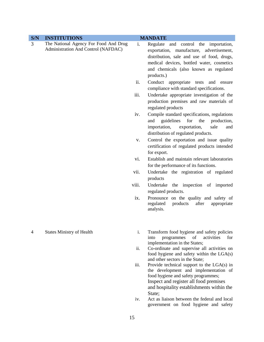| S/N | <b>INSTITUTIONS</b>                   |       | <b>MANDATE</b>                                                                                       |
|-----|---------------------------------------|-------|------------------------------------------------------------------------------------------------------|
| 3   | The National Agency For Food And Drug | i.    | Regulate and control the importation,                                                                |
|     | Administration And Control (NAFDAC)   |       | exportation,<br>manufacture, advertisement,                                                          |
|     |                                       |       | distribution, sale and use of food, drugs,                                                           |
|     |                                       |       | medical devices, bottled water, cosmetics                                                            |
|     |                                       |       | and chemicals (also known as regulated                                                               |
|     |                                       |       | products.)                                                                                           |
|     |                                       | ii.   | Conduct appropriate<br>tests<br>and<br>ensure<br>compliance with standard specifications.            |
|     |                                       | iii.  | Undertake appropriate investigation of the<br>production premises and raw materials of               |
|     |                                       |       | regulated products                                                                                   |
|     |                                       | iv.   | Compile standard specifications, regulations<br>guidelines<br>for<br>and<br>the<br>production,       |
|     |                                       |       | importation,<br>exportation,<br>sale<br>and<br>distribution of regulated products.                   |
|     |                                       | V.    | Control the exportation and issue quality<br>certification of regulated products intended            |
|     |                                       |       | for export.                                                                                          |
|     |                                       | vi.   | Establish and maintain relevant laboratories<br>for the performance of its functions.                |
|     |                                       | vii.  | Undertake the registration of regulated<br>products                                                  |
|     |                                       | viii. | Undertake the inspection of imported<br>regulated products.                                          |
|     |                                       | ix.   | Pronounce on the quality and safety of<br>regulated<br>products<br>after<br>appropriate<br>analysis. |
| 4   | <b>States Ministry of Health</b>      | i.    | Transform food hygiene and safety policies                                                           |
|     |                                       |       | into<br>programmes<br>of<br>activities<br>for<br>implementation in the States;                       |
|     |                                       | ii.   | Co-ordinate and supervise all activities on                                                          |
|     |                                       |       | food hygiene and safety within the LGA(s)                                                            |
|     |                                       |       | and other sectors in the State;                                                                      |
|     |                                       | iii.  | Provide technical support to the $LGA(s)$ in<br>the development and implementation of                |
|     |                                       |       | food hygiene and safety programmes;                                                                  |
|     |                                       |       | Inspect and register all food premises                                                               |
|     |                                       |       | and hospitality establishments within the                                                            |
|     |                                       |       | State;                                                                                               |
|     |                                       |       |                                                                                                      |

iv. Act as liaison between the federal and local government on food hygiene and safety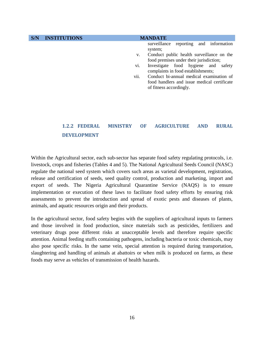**S/N INSTITUTIONS MANDATE** surveillance reporting and information system; v. Conduct public health surveillance on the food premises under their jurisdiction; vi. Investigate food hygiene and safety complaints in food establishments; vii. Conduct bi-annual medical examination of food handlers and issue medical certificate of fitness accordingly.

#### **1.2.2 FEDERAL MINISTRY OF AGRICULTURE AND RURAL DEVELOPMENT**

Within the Agricultural sector, each sub-sector has separate food safety regulating protocols, i.e. livestock, crops and fisheries (Tables 4 and 5). The National Agricultural Seeds Council (NASC) regulate the national seed system which covers such areas as varietal development, registration, release and certification of seeds, seed quality control, production and marketing, import and export of seeds. The Nigeria Agricultural Quarantine Service (NAQS) is to ensure implementation or execution of these laws to facilitate food safety efforts by ensuring risk assessments to prevent the introduction and spread of exotic pests and diseases of plants, animals, and aquatic resources origin and their products.

In the agricultural sector, food safety begins with the suppliers of agricultural inputs to farmers and those involved in food production, since materials such as pesticides, fertilizers and veterinary drugs pose different risks at unacceptable levels and therefore require specific attention. Animal feeding stuffs containing pathogens, including bacteria or toxic chemicals, may also pose specific risks. In the same vein, special attention is required during transportation, slaughtering and handling of animals at abattoirs or when milk is produced on farms, as these foods may serve as vehicles of transmission of health hazards.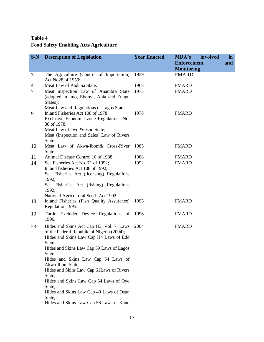#### **Table 4 Food Safety Enabling Acts Agriculture**

| S/N | <b>Description of Legislation</b>                                                                                                                                                  | <b>Year Enacted</b> | MDA's<br>involved<br><b>Enforcement</b> | in<br>and |
|-----|------------------------------------------------------------------------------------------------------------------------------------------------------------------------------------|---------------------|-----------------------------------------|-----------|
|     |                                                                                                                                                                                    |                     | <b>Monitoring</b>                       |           |
| 3   | The Agriculture (Control of Importation)<br>Act No28 of 1959;                                                                                                                      | 1959                | <b>FMARD</b>                            |           |
| 4   | Meat Law of Kaduna State.                                                                                                                                                          | 1968                | <b>FMARD</b>                            |           |
| 7   | Meat inspection Law of Anambra State<br>(adopted in Imo, Ebonyi, Abia and Enugu<br>States);<br>Meat Law and Regulations of Lagos State.                                            | 1973                | <b>FMARD</b>                            |           |
| 9   | Inland Fisheries Act 108 of 1978<br>Exclusive Economic zone Regulations No.<br>38 of 1978;<br>Meat Law of Oyo & Osun State;<br>Meat (Inspection and Sales) Law of Rivers<br>State. | 1978                | <b>FMARD</b>                            |           |
| 10  | Meat Law of Akwa-Ibom& Cross-River<br><b>State</b>                                                                                                                                 | 1985                | <b>FMARD</b>                            |           |
| 11  | Animal Disease Control 10 of 1988.                                                                                                                                                 | 1988                | <b>FMARD</b>                            |           |
| 14  | Sea Fisheries Act No. 71 of 1992;<br>Inland fisheries Act 108 of 1992;<br>Sea Fisheries Act (licensing) Regulations<br>1992;                                                       | 1992                | <b>FMARD</b>                            |           |
|     | Sea Fisheries Act (fishing) Regulations<br>1992;                                                                                                                                   |                     |                                         |           |
| 18  | National Agricultural Seeds Act 1992.<br>Inland Fisheries (Fish Quality Assurance)<br>Regulation 1995.                                                                             | 1995                | <b>FMARD</b>                            |           |
| 19  | Turtle Excluder Device Regulations of<br>1996.                                                                                                                                     | 1996                | <b>FMARD</b>                            |           |
| 23  | Hides and Skins Act Cap H3, Vol. 7, Laws<br>of the Federal Republic of Nigeria (2004);<br>Hides and Skins Law Cap H4 Laws of Edo<br>State;                                         | 2004                | <b>FMARD</b>                            |           |
|     | Hides and Skins Law Cap 59 Laws of Lagos<br>State;                                                                                                                                 |                     |                                         |           |
|     | Hides and Skins Law Cap 54 Laws of<br>Akwa-Ibom State;                                                                                                                             |                     |                                         |           |
|     | Hides and Skins Law Cap 61 Laws of Rivers<br>State;                                                                                                                                |                     |                                         |           |
|     | Hides and Skins Law Cap 54 Laws of Oyo<br>State;                                                                                                                                   |                     |                                         |           |
|     | Hides and Skins Law Cap 49 Laws of Osun<br>State;                                                                                                                                  |                     |                                         |           |
|     | Hides and Skins Law Cap 56 Laws of Kano                                                                                                                                            |                     |                                         |           |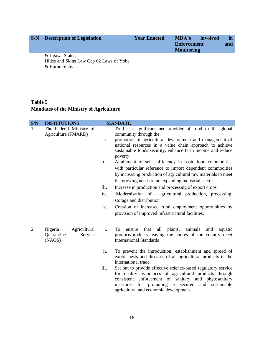| S/N | <b>Description of Legislation</b> | <b>Year Enacted</b> | MDA's<br><b>Enforcement</b><br><b>Monitoring</b> | involved | $\mathbf{m}$<br>and |
|-----|-----------------------------------|---------------------|--------------------------------------------------|----------|---------------------|
|     | & Jigawa States;                  |                     |                                                  |          |                     |

Hides and Skins Law Cap 62 Laws of Yobe & Borno State.

#### **Table 5 Mandates of the Ministry of Agriculture**

| S/N            | <b>INSTITUTIONS</b>                                        |                | <b>MANDATE</b>                                                                                                                                                                                                                                                                    |
|----------------|------------------------------------------------------------|----------------|-----------------------------------------------------------------------------------------------------------------------------------------------------------------------------------------------------------------------------------------------------------------------------------|
| $\mathbf{1}$   | The Federal Ministry of<br>Agriculture (FMARD)             |                | To be a significant net provider of food to the global<br>community through the:                                                                                                                                                                                                  |
|                |                                                            | i.             | promotion of agricultural development and management of                                                                                                                                                                                                                           |
|                |                                                            |                | national resources in a value chain approach to achieve<br>sustainable foods security, enhance farm income and reduce<br>poverty                                                                                                                                                  |
|                |                                                            | ii.            | Attainment of self sufficiency in basic food commodities                                                                                                                                                                                                                          |
|                |                                                            |                | with particular reference to import dependent commodities                                                                                                                                                                                                                         |
|                |                                                            |                | by increasing production of agricultural raw materials to meet                                                                                                                                                                                                                    |
|                |                                                            |                | the growing needs of an expanding industrial sector                                                                                                                                                                                                                               |
|                |                                                            | iii.           | Increase in production and processing of export crops                                                                                                                                                                                                                             |
|                |                                                            | iv.            | Modernisation of<br>agricultural production, processing,<br>storage and distribution                                                                                                                                                                                              |
|                |                                                            | V.             | Creation of increased rural employment opportunities by<br>provision of improved infrastructural facilities.                                                                                                                                                                      |
| $\overline{2}$ | Nigeria<br>Agricultural<br>Service<br>Quarantine<br>(NAQS) | $\mathbf{i}$ . | To<br>that<br>all<br>plants,<br>animals<br>and<br>aquatic<br>ensure<br>produce/products leaving the shores of the country meet<br><b>International Standards</b>                                                                                                                  |
|                |                                                            | ii.            | To prevent the introduction, establishment and spread of<br>exotic pests and diseases of all agricultural products in the<br>international trade.                                                                                                                                 |
|                |                                                            | iii.           | Set out to provide effective science-based regulatory service<br>for quality assurances of agricultural products through<br>consistent enforcement of sanitary and phytosanitary<br>measures for promoting a secured<br>and sustainable<br>agricultural and economic development. |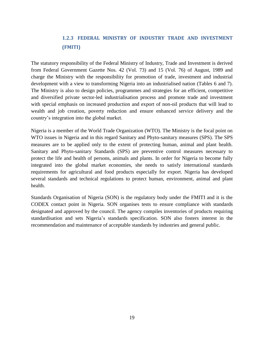#### **1.2.3 FEDERAL MINISTRY OF INDUSTRY TRADE AND INVESTMENT (FMITI)**

The statutory responsibility of the Federal Ministry of Industry, Trade and Investment is derived from Federal Government Gazette Nos. 42 (Vol. 73) and 15 (Vol. 76) of August, 1989 and charge the Ministry with the responsibility for promotion of trade, investment and industrial development with a view to transforming Nigeria into an industrialised nation (Tables 6 and 7). The Ministry is also to design policies, programmes and strategies for an efficient, competitive and diversified private sector-led industrialisation process and promote trade and investment with special emphasis on increased production and export of non-oil products that will lead to wealth and job creation, poverty reduction and ensure enhanced service delivery and the country's integration into the global market.

Nigeria is a member of the World Trade Organization (WTO). The Ministry is the focal point on WTO issues in Nigeria and in this regard Sanitary and Phyto-sanitary measures (SPS). The SPS measures are to be applied only to the extent of protecting human, animal and plant health. Sanitary and Phyto-sanitary Standards (SPS) are preventive control measures necessary to protect the life and health of persons, animals and plants. In order for Nigeria to become fully integrated into the global market economies, she needs to satisfy international standards requirements for agricultural and food products especially for export. Nigeria has developed several standards and technical regulations to protect human, environment, animal and plant health.

Standards Organisation of Nigeria (SON) is the regulatory body under the FMITI and it is the CODEX contact point in Nigeria. SON organises tests to ensure compliance with standards designated and approved by the council. The agency compiles inventories of products requiring standardisation and sets Nigeria's standards specification. SON also fosters interest in the recommendation and maintenance of acceptable standards by industries and general public.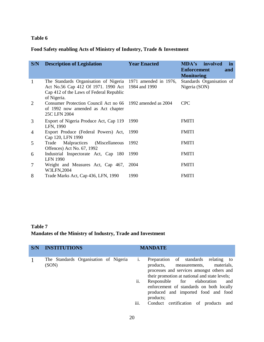#### **Table 6**

#### **Food Safety enabling Acts of Ministry of Industry, Trade & Investment**

| S/N            | <b>Description of Legislation</b>                                                                                                                                          | <b>Year Enacted</b> | <b>MDA's</b> involved<br>in<br><b>Enforcement</b><br>and<br><b>Monitoring</b> |
|----------------|----------------------------------------------------------------------------------------------------------------------------------------------------------------------------|---------------------|-------------------------------------------------------------------------------|
| -1             | The Standards Organisation of Nigeria 1971 amended in 1976,<br>Act No.56 Cap 412 Of 1971. 1990 Act 1984 and 1990<br>Cap 412 of the Laws of Federal Republic<br>of Nigeria. |                     | Standards Organisation of<br>Nigeria (SON)                                    |
| 2              | Consumer Protection Council Act no 66 1992 amended as 2004<br>of 1992 now amended as Act chapter<br>25C LFN 2004                                                           |                     | <b>CPC</b>                                                                    |
| 3              | Export of Nigeria Produce Act, Cap 119<br>LFN, 1990                                                                                                                        | 1990                | <b>FMITI</b>                                                                  |
| $\overline{4}$ | Export Produce (Federal Powers) Act, 1990<br>Cap 120, LFN 1990                                                                                                             |                     | <b>FMITI</b>                                                                  |
| 5              | Malpractices (Miscellaneous)<br>Trade<br>Offences) Act No. 67, 1992                                                                                                        | 1992                | <b>FMITI</b>                                                                  |
| 6              | Industrial Inspectorate Act, Cap 180<br><b>LFN 1990</b>                                                                                                                    | 1990                | <b>FMITI</b>                                                                  |
| 7              | Weight and Measures Act, Cap 467, 2004<br>W3LFN,2004                                                                                                                       |                     | <b>FMITI</b>                                                                  |
| 8              | Trade Marks Act, Cap 436, LFN, 1990                                                                                                                                        | 1990                | <b>FMITI</b>                                                                  |

#### **Table 7 Mandates of the Ministry of Industry, Trade and Investment**

| S/N | <b>INSTITUTIONS</b>                            | <b>MANDATE</b>                                                                                                                                                                                                                                                                                                                                                                              |
|-----|------------------------------------------------|---------------------------------------------------------------------------------------------------------------------------------------------------------------------------------------------------------------------------------------------------------------------------------------------------------------------------------------------------------------------------------------------|
|     | The Standards Organisation of Nigeria<br>(SON) | Preparation of standards<br>relating to<br>1.<br>products,<br>materials,<br>measurements,<br>processes and services amongst others and<br>their promotion at national and state levels;<br>ii.<br>Responsible for elaboration<br>and<br>enforcement of standards on both locally<br>produced and imported food and food<br>products;<br>iii.<br>Conduct certification of<br>products<br>and |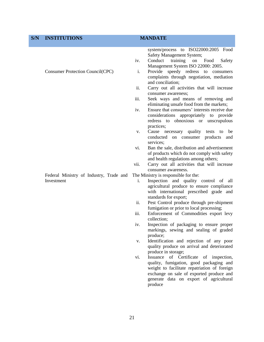| S/N | <b>INSTITUTIONS</b>                                   | <b>MANDATE</b>                                                                        |                                                                                                                                                                                                  |
|-----|-------------------------------------------------------|---------------------------------------------------------------------------------------|--------------------------------------------------------------------------------------------------------------------------------------------------------------------------------------------------|
|     |                                                       | Safety Management System;<br>Conduct<br>training<br>iv.                               | system/process to ISO22000:2005 Food<br>Food<br>on<br>Safety                                                                                                                                     |
|     | Consumer Protection Council(CPC)                      | Management System ISO 22000: 2005.<br>i.                                              | Provide speedy redress to consumers<br>complaints through negotiation, mediation                                                                                                                 |
|     |                                                       | and conciliation;<br>ii.<br>consumer awareness;                                       | Carry out all activities that will increase                                                                                                                                                      |
|     |                                                       | iii.<br>eliminating unsafe food from the markets;                                     | Seek ways and means of removing and                                                                                                                                                              |
|     |                                                       | iv.<br>practices;                                                                     | Ensure that consumers' interests receive due<br>considerations appropriately to provide<br>redress to obnoxious or unscrupulous                                                                  |
|     |                                                       | Cause necessary quality tests to<br>V.<br>conducted on consumer products<br>services; | be<br>and                                                                                                                                                                                        |
|     |                                                       | vi.<br>and health regulations among others;                                           | Ban the sale, distribution and advertisement<br>of products which do not comply with safety                                                                                                      |
|     |                                                       | vii.<br>consumer awareness.                                                           | Carry out all activities that will increase                                                                                                                                                      |
|     | Federal Ministry of Industry, Trade and<br>Investment | The Ministry is responsible for the:<br>i.<br>standards for export;                   | Inspection and quality control of all<br>agricultural produce to ensure compliance<br>with international prescribed grade and                                                                    |
|     |                                                       | ii.<br>fumigation or prior to local processing;                                       | Pest Control produce through pre-shipment                                                                                                                                                        |
|     |                                                       | iii.<br>collection;                                                                   | Enforcement of Commodities export levy                                                                                                                                                           |
|     |                                                       | iv.<br>produce;                                                                       | Inspection of packaging to ensure proper<br>markings, sewing and sealing of graded                                                                                                               |
|     |                                                       | V.<br>produce in storage;                                                             | Identification and rejection of any poor<br>quality produce on arrival and deteriorated                                                                                                          |
|     |                                                       | Issuance<br>of Certificate<br>vi.<br>produce                                          | of inspection,<br>quality, fumigation, good packaging and<br>weight to facilitate repatriation of foreign<br>exchange on sale of exported produce and<br>generate data on export of agricultural |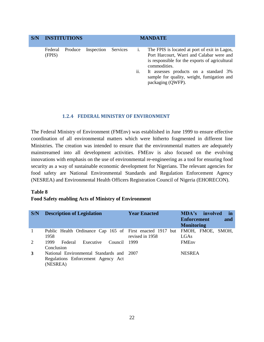| S/N | <b>INSTITUTIONS</b>          |  |            | <b>MANDATE</b> |     |                                                                                                                                                              |  |
|-----|------------------------------|--|------------|----------------|-----|--------------------------------------------------------------------------------------------------------------------------------------------------------------|--|
|     | Produce<br>Federal<br>(FPIS) |  | Inspection | Services       | 1.  | The FPIS is located at port of exit in Lagos,<br>Port Harcourt, Warri and Calabar were and<br>is responsible for the exports of agricultural<br>commodities. |  |
|     |                              |  |            |                | ii. | It assesses products on a standard 3%<br>sample for quality, weight, fumigation and<br>packaging (QWFP).                                                     |  |

#### **1.2.4 FEDERAL MINISTRY OF ENVIRONMENT**

The Federal Ministry of Environment (FMEnv) was established in June 1999 to ensure effective coordination of all environmental matters which were hitherto fragmented in different line Ministries. The creation was intended to ensure that the environmental matters are adequately mainstreamed into all development activities. FMEnv is also focused on the evolving innovations with emphasis on the use of environmental re-engineering as a tool for ensuring food security as a way of sustainable economic development for Nigerians. The relevant agencies for food safety are National Environmental Standards and Regulation Enforcement Agency (NESREA) and Environmental Health Officers Registration Council of Nigeria (EHORECON).

#### **Table 8**

#### **Food Safety enabling Acts of Ministry of Environment**

| S/N | <b>Description of Legislation</b>                                                           | <b>Year Enacted</b> | MDA's involved<br>in<br><b>Enforcement</b><br>and<br><b>Monitoring</b> |
|-----|---------------------------------------------------------------------------------------------|---------------------|------------------------------------------------------------------------|
|     | Public Health Ordinance Cap 165 of First enacted 1917 but<br>1958                           | revised in 1958     | FMOH, FMOE, SMOH,<br>LGAs                                              |
| 2   | 1999<br>Federal<br>Executive<br>Council<br>Conclusion                                       | - 1999              | <b>FMEnv</b>                                                           |
| 3   | National Environmental Standards and 2007<br>Regulations Enforcement Agency Act<br>(NESREA) |                     | <b>NESREA</b>                                                          |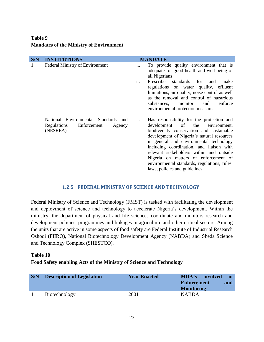#### **Table 9 Mandates of the Ministry of Environment**

| S/N | <b>INSTITUTIONS</b>                                                                      |                | <b>MANDATE</b>                                                                                                                                                                                                                                                                                                                                                                                                                             |
|-----|------------------------------------------------------------------------------------------|----------------|--------------------------------------------------------------------------------------------------------------------------------------------------------------------------------------------------------------------------------------------------------------------------------------------------------------------------------------------------------------------------------------------------------------------------------------------|
| 1   | <b>Federal Ministry of Environment</b>                                                   | i.             | To provide quality environment that is<br>adequate for good health and well-being of<br>all Nigerians                                                                                                                                                                                                                                                                                                                                      |
|     |                                                                                          | ii.            | Prescribe<br>standards for<br>make<br>and<br>regulations on water quality, effluent<br>limitations, air quality, noise control as well<br>as the removal and control of hazardous<br>enforce<br>monitor<br>and<br>substances,<br>environmental protection measures.                                                                                                                                                                        |
|     | National Environmental Standards and<br>Regulations<br>Enforcement<br>Agency<br>(NESREA) | $\mathbf{i}$ . | Has responsibility for the protection and<br>development of<br>the<br>environment,<br>biodiversity conservation and sustainable<br>development of Nigeria's natural resources<br>in general and environmental technology<br>including coordination, and liaison with<br>relevant stakeholders within and outside<br>Nigeria on matters of enforcement of<br>environmental standards, regulations, rules,<br>laws, policies and guidelines. |

#### **1.2.5 FEDERAL MINISTRY OF SCIENCE AND TECHNOLOGY**

Federal Ministry of Science and Technology (FMST) is tasked with facilitating the development and deployment of science and technology to accelerate Nigeria's development. Within the ministry, the department of physical and life sciences coordinate and monitors research and development policies, programmes and linkages in agriculture and other critical sectors. Among the units that are active in some aspects of food safety are Federal Institute of Industrial Research Oshodi (FIIRO), National Biotechnology Development Agency (NABDA) and Sheda Science and Technology Complex (SHESTCO).

#### **Table 10**

#### **Food Safety enabling Acts of the Ministry of Science and Technology**

| S/N | <b>Description of Legislation</b> | <b>Year Enacted</b> | MDA's involved<br><b>Enforcement</b><br><b>Monitoring</b> | in.<br>and |
|-----|-----------------------------------|---------------------|-----------------------------------------------------------|------------|
|     | Biotechnology                     | 2001                | <b>NABDA</b>                                              |            |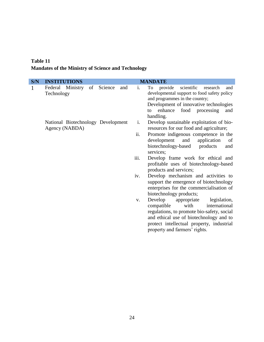#### **Table 11 Mandates of the Ministry of Science and Technology**

| S/N | <b>INSTITUTIONS</b> |                                    |    |         |     |                | <b>MANDATE</b>                                                                                                                                                                                                                                       |
|-----|---------------------|------------------------------------|----|---------|-----|----------------|------------------------------------------------------------------------------------------------------------------------------------------------------------------------------------------------------------------------------------------------------|
| 1   | Technology          | Federal Ministry                   | of | Science | and | $\mathbf{i}$ . | provide<br>scientific<br>To<br>research<br>and<br>developmental support to food safety policy<br>and programmes in the country;<br>Development of innovative technologies<br>food processing<br>enhance<br>and<br>to<br>handling.                    |
|     |                     | National Biotechnology Development |    |         |     | i.             | Develop sustainable exploitation of bio-                                                                                                                                                                                                             |
|     |                     | Agency (NABDA)                     |    |         |     |                | resources for our food and agriculture;                                                                                                                                                                                                              |
|     |                     |                                    |    |         |     | ii.            | Promote indigenous competence in the<br>development<br>and<br>application<br>of<br>biotechnology-based<br>products<br>and<br>services;                                                                                                               |
|     |                     |                                    |    |         |     | iii.           | Develop frame work for ethical and<br>profitable uses of biotechnology-based<br>products and services;                                                                                                                                               |
|     |                     |                                    |    |         |     | iv.            | Develop mechanism and activities to<br>support the emergence of biotechnology<br>enterprises for the commercialisation of<br>biotechnology products;                                                                                                 |
|     |                     |                                    |    |         |     | V.             | Develop<br>legislation,<br>appropriate<br>with<br>international<br>compatible<br>regulations, to promote bio-safety, social<br>and ethical use of biotechnology and to<br>protect intellectual property, industrial<br>property and farmers' rights. |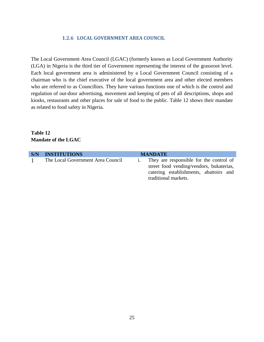#### **1.2.6 LOCAL GOVERNMENT AREA COUNCIL**

The Local Government Area Council (LGAC) (formerly known as Local Government Authority (LGA) in Nigeria is the third tier of Government representing the interest of the grassroot level. Each local government area is administered by a Local Government Council consisting of a chairman who is the chief executive of the local government area and other elected members who are referred to as Councillors. They have various functions one of which is the control and regulation of out-door advertising, movement and keeping of pets of all descriptions, shops and kiosks, restaurants and other places for sale of food to the public. Table 12 shows their mandate as related to food safety in Nigeria.

#### **Table 12 Mandate of the LGAC**

| S/N | <b>INSTITUTIONS</b>               | <b>MANDATE</b>                                                                                                                                        |
|-----|-----------------------------------|-------------------------------------------------------------------------------------------------------------------------------------------------------|
|     | The Local Government Area Council | They are responsible for the control of<br>street food vending/vendors, bukaterias,<br>catering establishments, abattoirs and<br>traditional markets. |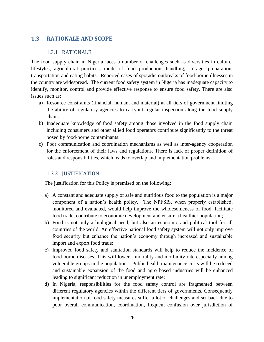#### <span id="page-26-0"></span>**1.3 RATIONALE AND SCOPE**

#### 1.3.1 RATIONALE

<span id="page-26-1"></span>The food supply chain in Nigeria faces a number of challenges such as diversities in culture, lifestyles, agricultural practices, mode of food production, handling, storage, preparation, transportation and eating habits. Reported cases of sporadic outbreaks of food-borne illnesses in the country are widespread**.** The current food safety system in Nigeria has inadequate capacity to identify, monitor, control and provide effective response to ensure food safety. There are also issues such as:

- a) Resource constraints (financial, human, and material) at all tiers of government limiting the ability of regulatory agencies to carryout regular inspection along the food supply chain.
- b) Inadequate knowledge of food safety among those involved in the food supply chain including consumers and other allied food operators contribute significantly to the threat posed by food-borne contaminants.
- c) Poor communication and coordination mechanisms as well as inter-agency cooperation for the enforcement of their laws and regulations. There is lack of proper definition of roles and responsibilities, which leads to overlap and implementation problems.

#### <span id="page-26-2"></span>1.3.2 JUSTIFICATION

The justification for this Policy is premised on the following:

- a) A constant and adequate supply of safe and nutritious food to the population is a major component of a nation's health policy. The NPFSIS, when properly established, monitored and evaluated, would help improve the wholesomeness of food, facilitate food trade, contribute to economic development and ensure a healthier population;
- b) Food is not only a biological need, but also an economic and political tool for all countries of the world. An effective national food safety system will not only improve food security but enhance the nation's economy through increased and sustainable import and export food trade;
- c) Improved food safety and sanitation standards will help to reduce the incidence of food-borne diseases. This will lower mortality and morbidity rate especially among vulnerable groups in the population. Public health maintenance costs will be reduced and sustainable expansion of the food and agro based industries will be enhanced leading to significant reduction in unemployment rate;
- d) In Nigeria, responsibilities for the food safety control are fragmented between different regulatory agencies within the different tiers of governments. Consequently implementation of food safety measures suffer a lot of challenges and set back due to poor overall communication, coordination, frequent confusion over jurisdiction of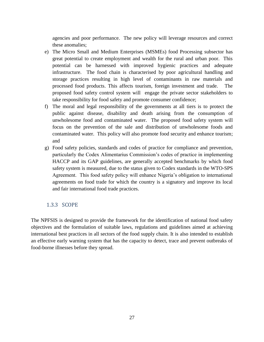agencies and poor performance. The new policy will leverage resources and correct these anomalies;

- e) The Micro Small and Medium Enterprises (MSMEs) food Processing subsector has great potential to create employment and wealth for the rural and urban poor. This potential can be harnessed with improved hygienic practices and adequate infrastructure. The food chain is characterised by poor agricultural handling and storage practices resulting in high level of contaminants in raw materials and processed food products. This affects tourism, foreign investment and trade. The proposed food safety control system will engage the private sector stakeholders to take responsibility for food safety and promote consumer confidence;
- f) The moral and legal responsibility of the governments at all tiers is to protect the public against disease, disability and death arising from the consumption of unwholesome food and contaminated water. The proposed food safety system will focus on the prevention of the sale and distribution of unwholesome foods and contaminated water. This policy will also promote food security and enhance tourism; and
- g) Food safety policies, standards and codes of practice for compliance and prevention, particularly the Codex Alimentarius Commission's codes of practice in implementing HACCP and its GAP guidelines, are generally accepted benchmarks by which food safety system is measured, due to the status given to Codex standards in the WTO-SPS Agreement. This food safety policy will enhance Nigeria's obligation to international agreements on food trade for which the country is a signatory and improve its local and fair international food trade practices.

#### <span id="page-27-0"></span>1.3.3 SCOPE

The NPFSIS is designed to provide the framework for the identification of national food safety objectives and the formulation of suitable laws, regulations and guidelines aimed at achieving international best practices in all sectors of the food supply chain. It is also intended to establish an effective early warning system that has the capacity to detect, trace and prevent outbreaks of food-borne illnesses before they spread.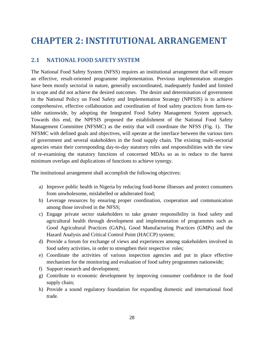# <span id="page-28-1"></span><span id="page-28-0"></span>**CHAPTER 2: INSTITUTIONAL ARRANGEMENT**

#### **2.1 NATIONAL FOOD SAFETY SYSTEM**

The National Food Safety System (NFSS) requires an institutional arrangement that will ensure an effective, result-oriented programme implementation. Previous implementation strategies have been mostly sectorial in nature, generally uncoordinated, inadequately funded and limited in scope and did not achieve the desired outcomes. The desire and determination of government in the National Policy on Food Safety and Implementation Strategy (NPFSIS) is to achieve comprehensive, effective collaboration and coordination of food safety practices from farm-totable nationwide, by adopting the Integrated Food Safety Management System approach. Towards this end, the NPFSIS proposed the establishment of the National Food Safety Management Committee (NFSMC) as the entity that will coordinate the NFSS (Fig. 1). The NFSMC with defined goals and objectives, will operate at the interface between the various tiers of government and several stakeholders in the food supply chain. The existing multi-sectorial agencies retain their corresponding day-to-day statutory roles and responsibilities with the view of re-examining the statutory functions of concerned MDAs so as to reduce to the barest minimum overlaps and duplications of functions to achieve synergy.

The institutional arrangement shall accomplish the following objectives:

- a) Improve public health in Nigeria by reducing food-borne illnesses and protect consumers from unwholesome, mislabelled or adulterated food;
- b) Leverage resources by ensuring proper coordination, cooperation and communication among those involved in the NFSS;
- c) Engage private sector stakeholders to take greater responsibility in food safety and agricultural health through development and implementation of programmes such as Good Agricultural Practices (GAPs), Good Manufacturing Practices (GMPs) and the Hazard Analysis and Critical Control Point (HACCP) system;
- d) Provide a forum for exchange of views and experiences among stakeholders involved in food safety activities, in order to strengthen their respective roles;
- e) Coordinate the activities of various inspection agencies and put in place effective mechanism for the monitoring and evaluation of food safety programmes nationwide;
- f) Support research and development;
- g) Contribute to economic development by improving consumer confidence in the food supply chain;
- h) Provide a sound regulatory foundation for expanding domestic and international food trade.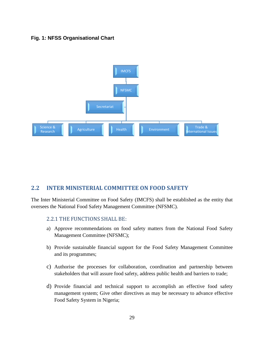#### **Fig. 1: NFSS Organisational Chart**



#### <span id="page-29-0"></span>**2.2 INTER MINISTERIAL COMMITTEE ON FOOD SAFETY**

The Inter Ministerial Committee on Food Safety (IMCFS) shall be established as the entity that oversees the National Food Safety Management Committee (NFSMC).

#### <span id="page-29-1"></span>2.2.1 THE FUNCTIONS SHALL BE:

- a) Approve recommendations on food safety matters from the National Food Safety Management Committee (NFSMC);
- b) Provide sustainable financial support for the Food Safety Management Committee and its programmes;
- c) Authorise the processes for collaboration, coordination and partnership between stakeholders that will assure food safety, address public health and barriers to trade;
- d) Provide financial and technical support to accomplish an effective food safety management system; Give other directives as may be necessary to advance effective Food Safety System in Nigeria;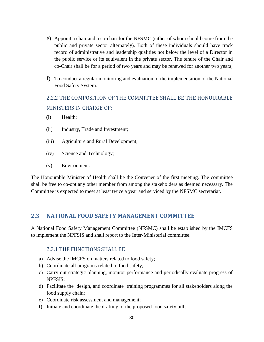- e) Appoint a chair and a co-chair for the NFSMC (either of whom should come from the public and private sector alternately). Both of these individuals should have track record of administrative and leadership qualities not below the level of a Director in the public service or its equivalent in the private sector. The tenure of the Chair and co-Chair shall be for a period of two years and may be renewed for another two years;
- f) To conduct a regular monitoring and evaluation of the implementation of the National Food Safety System.

#### <span id="page-30-0"></span>2.2.2 THE COMPOSITION OF THE COMMITTEE SHALL BE THE HONOURABLE MINISTERS IN CHARGE OF:

- (i) Health;
- (ii) Industry, Trade and Investment;
- (iii) Agriculture and Rural Development;
- (iv) Science and Technology;
- (v) Environment.

The Honourable Minister of Health shall be the Convener of the first meeting. The committee shall be free to co-opt any other member from among the stakeholders as deemed necessary. The Committee is expected to meet at least twice a year and serviced by the NFSMC secretariat.

#### <span id="page-30-1"></span>**2.3 NATIONAL FOOD SAFETY MANAGEMENT COMMITTEE**

A National Food Safety Management Committee (NFSMC) shall be established by the IMCFS to implement the NPFSIS and shall report to the Inter-Ministerial committee.

#### 2.3.1 THE FUNCTIONS SHALL BE:

- <span id="page-30-2"></span>a) Advise the IMCFS on matters related to food safety;
- b) Coordinate all programs related to food safety;
- c) Carry out strategic planning, monitor performance and periodically evaluate progress of NPFSIS;
- d) Facilitate the design, and coordinate training programmes for all stakeholders along the food supply chain;
- e) Coordinate risk assessment and management;
- f) Initiate and coordinate the drafting of the proposed food safety bill;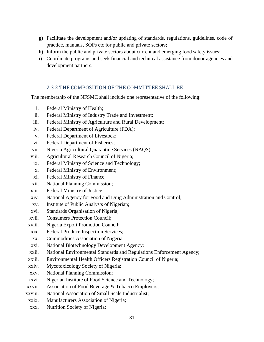- g) Facilitate the development and/or updating of standards, regulations, guidelines, code of practice, manuals, SOPs etc for public and private sectors;
- h) Inform the public and private sectors about current and emerging food safety issues;
- i) Coordinate programs and seek financial and technical assistance from donor agencies and development partners.

#### 2.3.2 THE COMPOSITION OF THE COMMITTEE SHALL BE:

<span id="page-31-0"></span>The membership of the NFSMC shall include one representative of the following:

- i. Federal Ministry of Health;
- ii. Federal Ministry of Industry Trade and Investment;
- iii. Federal Ministry of Agriculture and Rural Development;
- iv. Federal Department of Agriculture (FDA);
- v. Federal Department of Livestock;
- vi. Federal Department of Fisheries;
- vii. Nigeria Agricultural Quarantine Services (NAQS);
- viii. Agricultural Research Council of Nigeria;
- ix. Federal Ministry of Science and Technology;
- x. Federal Ministry of Environment;
- xi. Federal Ministry of Finance;
- xii. National Planning Commission;
- xiii. Federal Ministry of Justice;
- xiv. National Agency for Food and Drug Administration and Control;
- xv. Institute of Public Analysts of Nigerian;
- xvi. Standards Organisation of Nigeria;
- xvii. Consumers Protection Council;
- xviii. Nigeria Export Promotion Council;
- xix. Federal Produce Inspection Services;
- xx. Commodities Association of Nigeria;
- xxi. National Biotechnology Development Agency;
- xxii. National Environmental Standards and Regulations Enforcement Agency;
- xxiii. Environmental Health Officers Registration Council of Nigeria;
- xxiv. Mycotoxicology Society of Nigeria;
- xxv. National Planning Commission;
- xxvi. Nigerian Institute of Food Science and Technology;
- xxvii. Association of Food Beverage & Tobacco Employers;
- xxviii. National Association of Small Scale Industrialist;
- xxix. Manufacturers Association of Nigeria;
- xxx. Nutrition Society of Nigeria;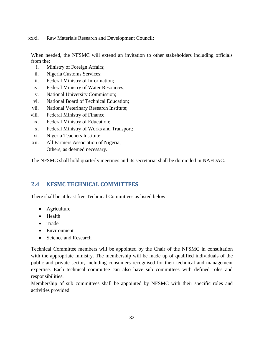xxxi. Raw Materials Research and Development Council;

When needed, the NFSMC will extend an invitation to other stakeholders including officials from the:

- i. Ministry of Foreign Affairs;
- ii. Nigeria Customs Services;
- iii. Federal Ministry of Information;
- iv. Federal Ministry of Water Resources;
- v. National University Commission;
- vi. National Board of Technical Education;
- vii. National Veterinary Research Institute;
- viii. Federal Ministry of Finance;
- ix. Federal Ministry of Education;
- x. Federal Ministry of Works and Transport;
- xi. Nigeria Teachers Institute;
- xii. All Farmers Association of Nigeria; Others, as deemed necessary.

The NFSMC shall hold quarterly meetings and its secretariat shall be domiciled in NAFDAC.

#### <span id="page-32-0"></span>**2.4 NFSMC TECHNICAL COMMITTEES**

There shall be at least five Technical Committees as listed below:

- Agriculture
- Health
- Trade
- Environment
- Science and Research

Technical Committee members will be appointed by the Chair of the NFSMC in consultation with the appropriate ministry. The membership will be made up of qualified individuals of the public and private sector, including consumers recognised for their technical and management expertise. Each technical committee can also have sub committees with defined roles and responsibilities.

Membership of sub committees shall be appointed by NFSMC with their specific roles and activities provided.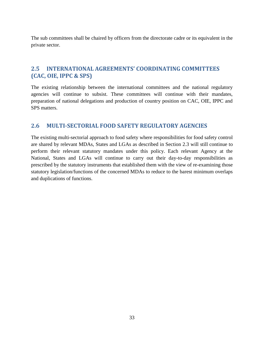The sub committees shall be chaired by officers from the directorate cadre or its equivalent in the private sector.

#### <span id="page-33-0"></span>**2.5 INTERNATIONAL AGREEMENTS' COORDINATING COMMITTEES (CAC, OIE, IPPC & SPS)**

The existing relationship between the international committees and the national regulatory agencies will continue to subsist. These committees will continue with their mandates, preparation of national delegations and production of country position on CAC, OIE, IPPC and SPS matters.

#### <span id="page-33-1"></span>**2.6 MULTI-SECTORIAL FOOD SAFETY REGULATORY AGENCIES**

The existing multi-sectorial approach to food safety where responsibilities for food safety control are shared by relevant MDAs, States and LGAs as described in Section 2.3 will still continue to perform their relevant statutory mandates under this policy. Each relevant Agency at the National, States and LGAs will continue to carry out their day-to-day responsibilities as prescribed by the statutory instruments that established them with the view of re-examining those statutory legislation/functions of the concerned MDAs to reduce to the barest minimum overlaps and duplications of functions.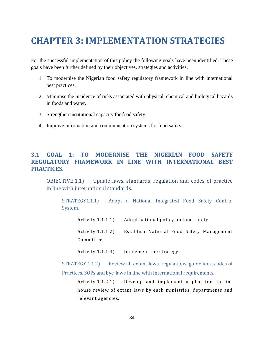# <span id="page-34-0"></span>**CHAPTER 3: IMPLEMENTATION STRATEGIES**

For the successful implementation of this policy the following goals have been identified. These goals have been further defined by their objectives, strategies and activities.

- 1. To modernise the Nigerian food safety regulatory framework in line with international best practices.
- 2. Minimise the incidence of risks associated with physical, chemical and biological hazards in foods and water.
- 3. Strengthen institutional capacity for food safety.
- 4. Improve information and communication systems for food safety.

#### <span id="page-34-1"></span>**3.1 GOAL 1: TO MODERNISE THE NIGERIAN FOOD SAFETY REGULATORY FRAMEWORK IN LINE WITH INTERNATIONAL BEST PRACTICES.**

<span id="page-34-2"></span>OBJECTIVE 1.1) Update laws, standards, regulation and codes of practice in line with international standards.

STRATEGY1.1.1) Adopt a National Integrated Food Safety Control System.

Activity 1.1.1.1) Adopt national policy on food safety.

Activity 1.1.1.2) Establish National Food Safety Management Committee.

Activity 1.1.1.3) Implement the strategy.

STRATEGY 1.1.2) Review all extant laws, regulations, guidelines, codes of Practices, SOPs and bye-laws in line with International requirements.

Activity 1.1.2.1) Develop and implement a plan for the inhouse review of extant laws by each ministries, departments and relevant agencies.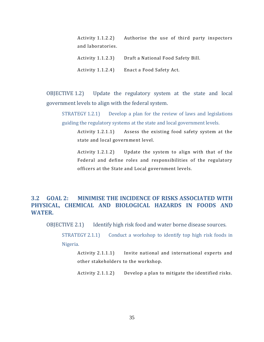| Activity 1.1.2.2) | Authorise the use of third party inspectors |
|-------------------|---------------------------------------------|
| and laboratories. |                                             |
| Activity 1.1.2.3) | Draft a National Food Safety Bill.          |
| Activity 1.1.2.4) | Enact a Food Safety Act.                    |

<span id="page-35-0"></span>OBJECTIVE 1.2) Update the regulatory system at the state and local government levels to align with the federal system.

STRATEGY 1.2.1) Develop a plan for the review of laws and legislations guiding the regulatory systems at the state and local government levels.

Activity 1.2.1.1) Assess the existing food safety system at the state and local government level.

Activity 1.2.1.2) Update the system to align with that of the Federal and define roles and responsibilities of the regulatory officers at the State and Local government levels.

#### <span id="page-35-1"></span>**3.2 GOAL 2: MINIMISE THE INCIDENCE OF RISKS ASSOCIATED WITH PHYSICAL, CHEMICAL AND BIOLOGICAL HAZARDS IN FOODS AND WATER.**

<span id="page-35-2"></span>OBJECTIVE 2.1) Identify high risk food and water borne disease sources.

STRATEGY 2.1.1) Conduct a workshop to identify top high risk foods in Nigeria.

Activity 2.1.1.1) Invite national and international experts and other stakeholders to the workshop.

Activity 2.1.1.2) Develop a plan to mitigate the identified risks.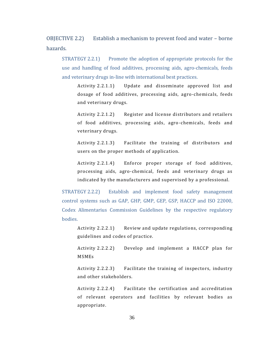<span id="page-36-0"></span>OBJECTIVE 2.2) Establish a mechanism to prevent food and water – borne hazards.

STRATEGY 2.2.1) Promote the adoption of appropriate protocols for the use and handling of food additives, processing aids, agro-chemicals, feeds and veterinary drugs in-line with international best practices.

Activity 2.2.1.1) Update and disseminate approved list and dosage of food additives, processing aids, agro-chemicals, feeds and veterinary drugs.

Activity 2.2.1.2) Register and license distributors and retailers of food additives, processing aids, agro-chemicals, feeds and veterinary drugs.

Activity 2.2.1.3) Facilitate the training of distributors and users on the proper methods of application.

Activity 2.2.1.4) Enforce proper storage of food additives, processing aids, agro-chemical, feeds and veterinary drugs as indicated by the manufacturers and supervised by a professional.

STRATEGY 2.2.2) Establish and implement food safety management control systems such as GAP, GHP, GMP, GEP, GSP, HACCP and ISO 22000, Codex Alimentarius Commission Guidelines by the respective regulatory bodies.

Activity 2.2.2.1) Review and update regulations, corresponding guidelines and codes of practice.

Activity 2.2.2.2) Develop and implement a HACCP plan for MSMEs

Activity 2.2.2.3) Facilitate the training of inspectors, industry and other stakeholders.

Activity 2.2.2.4) Facilitate the certification and accreditation of relevant operators and facilities by relevant bodies as appropriate.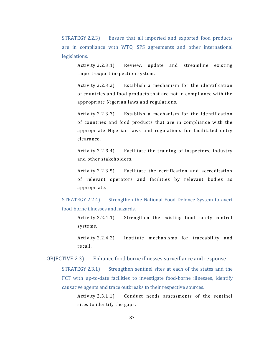STRATEGY 2.2.3) Ensure that all imported and exported food products are in compliance with WTO, SPS agreements and other international legislations.

Activity 2.2.3.1) Review, update and streamline existing import-export inspection system.

Activity 2.2.3.2) Establish a mechanism for the identification of countries and food products that are not in compliance with the appropriate Nigerian laws and regulations.

Activity 2.2.3.3) Establish a mechanism for the identification of countries and food products that are in compliance with the appropriate Nigerian laws and regulations for facilitated entry clearance.

Activity 2.2.3.4) Facilitate the training of inspectors, industry and other stakeholders.

Activity 2.2.3.5) Facilitate the certification and accreditation of relevant operators and facilities by relevant bodies as appropriate.

STRATEGY 2.2.4) Strengthen the National Food Defence System to avert food-borne illnesses and hazards.

Activity 2.2.4.1) Strengthen the existing food safety control systems.

Activity 2.2.4.2) Institute mechanisms for traceability and recall.

<span id="page-37-0"></span>OBJECTIVE 2.3) Enhance food borne illnesses surveillance and response.

STRATEGY 2.3.1) Strengthen sentinel sites at each of the states and the FCT with up-to-date facilities to investigate food-borne illnesses, identify causative agents and trace outbreaks to their respective sources.

Activity 2.3.1.1) Conduct needs assessments of the sentinel sites to identify the gaps.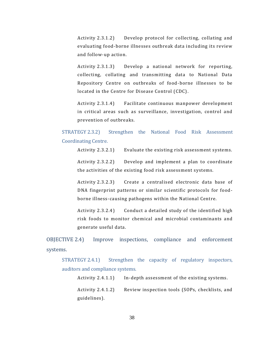Activity 2.3.1.2) Develop protocol for collecting, collating and evaluating food-borne illnesses outbreak data including its review and follow-up action.

Activity 2.3.1.3) Develop a national network for reporting, collecting, collating and transmitting data to National Data Repository Centre on outbreaks of food-borne illnesses to be located in the Centre for Disease Control (CDC).

Activity 2.3.1.4) Facilitate continuous manpower development in critical areas such as surveillance, investigation, control and prevention of outbreaks.

STRATEGY 2.3.2) Strengthen the National Food Risk Assessment Coordinating Centre.

Activity 2.3.2.1) Evaluate the existing risk assessment systems.

Activity 2.3.2.2) Develop and implement a plan to coordinate the activities of the existing food risk assessment systems.

Activity 2.3.2.3) Create a centralised electronic data base of DNA fingerprint patterns or similar scientific protocols for foodborne illness-causing pathogens within the National Centre.

Activity 2.3.2.4) Conduct a detailed study of the identified high risk foods to monitor chemical and microbial contaminants and generate useful data.

<span id="page-38-0"></span>OBJECTIVE 2.4) Improve inspections, compliance and enforcement systems.

STRATEGY 2.4.1) Strengthen the capacity of regulatory inspectors, auditors and compliance systems.

Activity 2.4.1.1) In-depth assessment of the existing systems.

Activity 2.4.1.2) Review inspection tools (SOPs, checklists, and guidelines).

38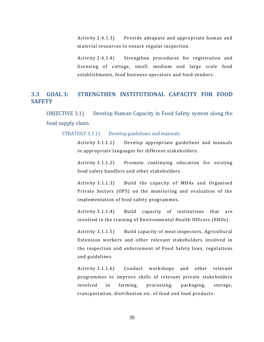Activity 2.4.1.3) Provide adequate and appropriate human and material resources to ensure regular inspection.

Activity 2.4.1.4) Strengthen procedures for registration and licensing of cottage, small, medium and large scale food establishments, food business operators and food vendors.

#### <span id="page-39-0"></span>**3.3 GOAL 3: STRENGTHEN INSTITUTIONAL CAPACITY FOR FOOD SAFETY**

<span id="page-39-1"></span>OBJECTIVE 3.1) Develop Human Capacity in Food Safety system along the food supply chain.

STRATEGY 3.1.1) Develop guidelines and manuals.

Activity 3.1.1.1) Develop appropriate guidelines and manuals in appropriate languages for different stakeholders.

Activity 3.1.1.2) Promote continuing education for existing food safety handlers and other stakeholders.

Activity 3.1.1.3) Build the capacity of MDAs and Organised Private Sectors (OPS) on the monitoring and evaluation of the implementation of food safety programmes.

Activity 3.1.1.4) Build capacity of institutions that are involved in the training of Environmental Health Officers (EHOs).

Activity 3.1.1.5) Build capacity of meat inspectors, Agricultural Extension workers and other relevant stakeholders involved in the inspection and enforcement of Food Safety laws, regul ations and guidelines.

Activity 3.1.1.6) Conduct workshops and other relevant programmes to improve skills of relevant private stakeholders involved in farming, processing, packaging, storage, transportation, distribution etc. of food and food products .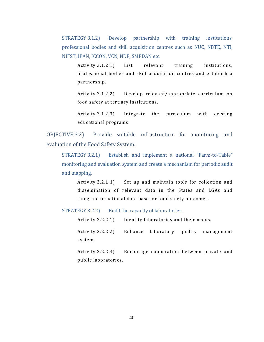STRATEGY 3.1.2) Develop partnership with training institutions, professional bodies and skill acquisition centres such as NUC, NBTE, NTI, NIFST, IPAN, ICCON, VCN, NDE, SMEDAN etc.

Activity 3.1.2.1) List relevant training institutions, professional bodies and skill acquisition centres and establish a partnership.

Activity 3.1.2.2) Develop relevant/appropriate curriculum on food safety at tertiary institutions.

Activity 3.1.2.3) Integrate the curriculum with existing educational programs.

<span id="page-40-0"></span>OBJECTIVE 3.2) Provide suitable infrastructure for monitoring and evaluation of the Food Safety System.

STRATEGY 3.2.1) Establish and implement a national "Farm-to-Table" monitoring and evaluation system and create a mechanism for periodic audit and mapping.

Activity 3.2.1.1) Set up and maintain tools for collection and dissemination of relevant data in the States and LGAs and integrate to national data base for food safety outcomes.

STRATEGY 3.2.2) Build the capacity of laboratories.

Activity 3.2.2.1) Identify laboratories and their needs.

Activity 3.2.2.2) Enhance laboratory quality management system.

Activity 3.2.2.3) Encourage cooperation between private and public laboratories.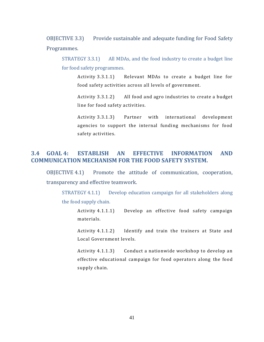<span id="page-41-0"></span>OBJECTIVE 3.3) Provide sustainable and adequate funding for Food Safety Programmes.

STRATEGY 3.3.1) All MDAs, and the food industry to create a budget line for food safety programmes.

Activity 3.3.1.1) Relevant MDAs to create a budget line for food safety activities across all levels of government.

Activity 3.3.1.2) All food and agro industries to create a budget line for food safety activities.

Activity 3.3.1.3) Partner with international development agencies to support the internal funding mechanisms for food safety activities.

#### <span id="page-41-1"></span>**3.4 GOAL 4: ESTABLISH AN EFFECTIVE INFORMATION AND COMMUNICATION MECHANISM FOR THE FOOD SAFETY SYSTEM.**

<span id="page-41-2"></span>OBJECTIVE 4.1) Promote the attitude of communication, cooperation, transparency and effective teamwork.

STRATEGY 4.1.1) Develop education campaign for all stakeholders along the food supply chain.

> Activity 4.1.1.1) Develop an effective food safety campaign materials.

> Activity 4.1.1.2) Identify and train the trainers at State and Local Government levels.

> Activity 4.1.1.3) Conduct a nationwide workshop to develop an effective educational campaign for food operators along the food supply chain.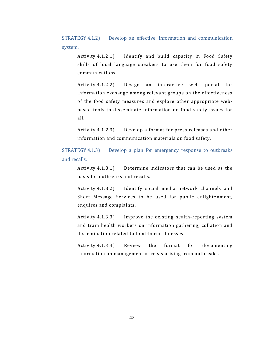STRATEGY 4.1.2) Develop an effective, information and communication system.

Activity 4.1.2.1) Identify and build capacity in Food Safety skills of local language speakers to use them for food safety communications.

Activity 4.1.2.2) Design an interactive web portal for information exchange among relevant groups on the effectiveness of the food safety measures and explore other appropriate webbased tools to disseminate information on food safety issues for all.

Activity 4.1.2.3) Develop a format for press releases and other information and communication materials on food safety.

STRATEGY 4.1.3) Develop a plan for emergency response to outbreaks and recalls.

Activity 4.1.3.1) Determine indicators that can be used as the basis for outbreaks and recalls.

Activity 4.1.3.2) Identify social media network channels and Short Message Services to be used for public enlightenment, enquires and complaints.

Activity 4.1.3.3) Improve the existing health-reporting system and train health workers on information gathering, collation and dissemination related to food-borne illnesses.

Activity 4.1.3.4) Review the format for documenting information on management of crisis arising from outbreaks .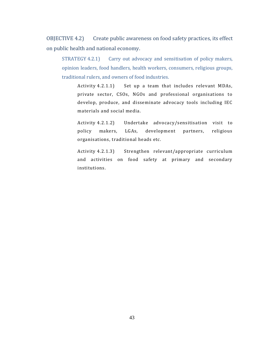<span id="page-43-0"></span>OBJECTIVE 4.2) Create public awareness on food safety practices, its effect on public health and national economy.

STRATEGY 4.2.1) Carry out advocacy and sensitisation of policy makers, opinion leaders, food handlers, health workers, consumers, religious groups, traditional rulers, and owners of food industries.

Activity 4.2.1.1) Set up a team that includes relevant MDAs, private sector, CSOs, NGOs and professional organisations to develop, produce, and disseminate advocacy tools including IEC materials and social media.

Activity 4.2.1.2) Undertake advocacy/sensitisation visit to policy makers, LGAs, development partners, religious organisations, traditional heads etc.

Activity 4.2.1.3) Strengthen relevant/appropriate curriculum and activities on food safety at primary and secondary institutions.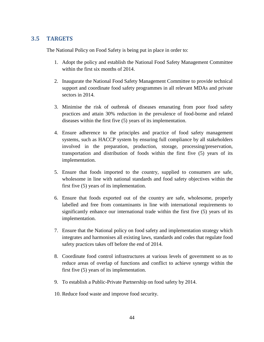#### <span id="page-44-0"></span>**3.5 TARGETS**

The National Policy on Food Safety is being put in place in order to:

- 1. Adopt the policy and establish the National Food Safety Management Committee within the first six months of 2014.
- 2. Inaugurate the National Food Safety Management Committee to provide technical support and coordinate food safety programmes in all relevant MDAs and private sectors in 2014.
- 3. Minimise the risk of outbreak of diseases emanating from poor food safety practices and attain 30% reduction in the prevalence of food-borne and related diseases within the first five (5) years of its implementation.
- 4. Ensure adherence to the principles and practice of food safety management systems, such as HACCP system by ensuring full compliance by all stakeholders involved in the preparation, production, storage, processing/preservation, transportation and distribution of foods within the first five (5) years of its implementation.
- 5. Ensure that foods imported to the country, supplied to consumers are safe, wholesome in line with national standards and food safety objectives within the first five (5) years of its implementation.
- 6. Ensure that foods exported out of the country are safe, wholesome, properly labelled and free from contaminants in line with international requirements to significantly enhance our international trade within the first five (5) years of its implementation.
- 7. Ensure that the National policy on food safety and implementation strategy which integrates and harmonises all existing laws, standards and codes that regulate food safety practices takes off before the end of 2014.
- 8. Coordinate food control infrastructures at various levels of government so as to reduce areas of overlap of functions and conflict to achieve synergy within the first five (5) years of its implementation.
- 9. To establish a Public-Private Partnership on food safety by 2014.
- 10. Reduce food waste and improve food security.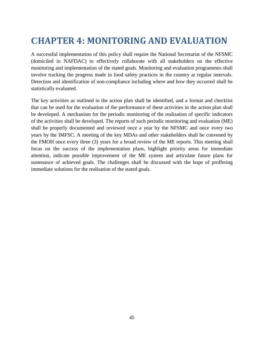# <span id="page-45-0"></span>**CHAPTER 4: MONITORING AND EVALUATION**

A successful implementation of this policy shall require the National Secretariat of the NFSMC (domiciled in NAFDAC) to effectively collaborate with all stakeholders on the effective monitoring and implementation of the stated goals. Monitoring and evaluation programmes shall involve tracking the progress made in food safety practices in the country at regular intervals. Detection and identification of non-compliance including where and how they occurred shall be statistically evaluated.

The key activities as outlined in the action plan shall be identified, and a format and checklist that can be used for the evaluation of the performance of these activities in the action plan shall be developed. A mechanism for the periodic monitoring of the realisation of specific indicators of the activities shall be developed. The reports of such periodic monitoring and evaluation (ME) shall be properly documented and reviewed once a year by the NFSMC and once every two years by the IMFSC. A meeting of the key MDAs and other stakeholders shall be convened by the FMOH once every three (3) years for a broad review of the ME reports. This meeting shall focus on the success of the implementation plans, highlight priority areas for immediate attention, indicate possible improvement of the ME system and articulate future plans for sustenance of achieved goals. The challenges shall be discussed with the hope of proffering immediate solutions for the realisation of the stated goals.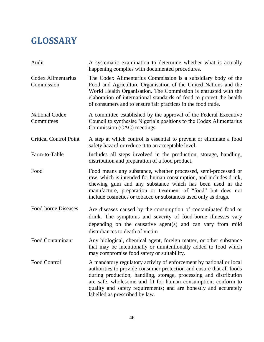# <span id="page-46-0"></span>**GLOSSARY**

| Audit                               | A systematic examination to determine whether what is actually<br>happening complies with documented procedures.                                                                                                                                                                                                                                                                        |
|-------------------------------------|-----------------------------------------------------------------------------------------------------------------------------------------------------------------------------------------------------------------------------------------------------------------------------------------------------------------------------------------------------------------------------------------|
| Codex Alimentarius<br>Commission    | The Codex Alimentarius Commission is a subsidiary body of the<br>Food and Agriculture Organisation of the United Nations and the<br>World Health Organisation. The Commission is entrusted with the<br>elaboration of international standards of food to protect the health<br>of consumers and to ensure fair practices in the food trade.                                             |
| <b>National Codex</b><br>Committees | A committee established by the approval of the Federal Executive<br>Council to synthesise Nigeria's positions to the Codex Alimentarius<br>Commission (CAC) meetings.                                                                                                                                                                                                                   |
| <b>Critical Control Point</b>       | A step at which control is essential to prevent or eliminate a food<br>safety hazard or reduce it to an acceptable level.                                                                                                                                                                                                                                                               |
| Farm-to-Table                       | Includes all steps involved in the production, storage, handling,<br>distribution and preparation of a food product.                                                                                                                                                                                                                                                                    |
| Food                                | Food means any substance, whether processed, semi-processed or<br>raw, which is intended for human consumption, and includes drink,<br>chewing gum and any substance which has been used in the<br>manufacture, preparation or treatment of "food" but does not<br>include cosmetics or tobacco or substances used only as drugs.                                                       |
| Food-borne Diseases                 | Are diseases caused by the consumption of contaminated food or<br>drink. The symptoms and severity of food-borne illnesses vary<br>depending on the causative agent(s) and can vary from mild<br>disturbances to death of victim                                                                                                                                                        |
| <b>Food Contaminant</b>             | Any biological, chemical agent, foreign matter, or other substance<br>that may be intentionally or unintentionally added to food which<br>may compromise food safety or suitability.                                                                                                                                                                                                    |
| Food Control                        | A mandatory regulatory activity of enforcement by national or local<br>authorities to provide consumer protection and ensure that all foods<br>during production, handling, storage, processing and distribution<br>are safe, wholesome and fit for human consumption; conform to<br>quality and safety requirements; and are honestly and accurately<br>labelled as prescribed by law. |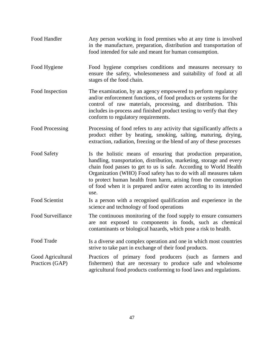| Food Handler                         | Any person working in food premises who at any time is involved<br>in the manufacture, preparation, distribution and transportation of<br>food intended for sale and meant for human consumption.                                                                                                                                                                                                                                |
|--------------------------------------|----------------------------------------------------------------------------------------------------------------------------------------------------------------------------------------------------------------------------------------------------------------------------------------------------------------------------------------------------------------------------------------------------------------------------------|
| Food Hygiene                         | Food hygiene comprises conditions and measures necessary to<br>ensure the safety, wholesomeness and suitability of food at all<br>stages of the food chain.                                                                                                                                                                                                                                                                      |
| Food Inspection                      | The examination, by an agency empowered to perform regulatory<br>and/or enforcement functions, of food products or systems for the<br>control of raw materials, processing, and distribution. This<br>includes in-process and finished product testing to verify that they<br>conform to regulatory requirements.                                                                                                                |
| Food Processing                      | Processing of food refers to any activity that significantly affects a<br>product either by heating, smoking, salting, maturing, drying,<br>extraction, radiation, freezing or the blend of any of these processes                                                                                                                                                                                                               |
| Food Safety                          | Is the holistic means of ensuring that production preparation,<br>handling, transportation, distribution, marketing, storage and every<br>chain food passes to get to us is safe. According to World Health<br>Organization (WHO) Food safety has to do with all measures taken<br>to protect human health from harm, arising from the consumption<br>of food when it is prepared and/or eaten according to its intended<br>use. |
| <b>Food Scientist</b>                | Is a person with a recognised qualification and experience in the<br>science and technology of food operations                                                                                                                                                                                                                                                                                                                   |
| Food Surveillance                    | The continuous monitoring of the food supply to ensure consumers<br>are not exposed to components in foods, such as chemical<br>contaminants or biological hazards, which pose a risk to health.                                                                                                                                                                                                                                 |
| Food Trade                           | Is a diverse and complex operation and one in which most countries<br>strive to take part in exchange of their food products.                                                                                                                                                                                                                                                                                                    |
| Good Agricultural<br>Practices (GAP) | Practices of primary food producers (such as farmers and<br>fishermen) that are necessary to produce safe and wholesome<br>agricultural food products conforming to food laws and regulations.                                                                                                                                                                                                                                   |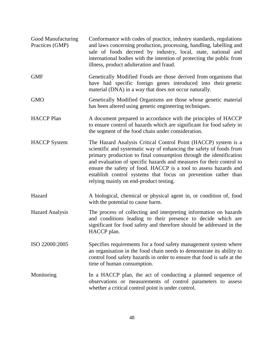| Good Manufacturing<br>Practices (GMP) | Conformance with codes of practice, industry standards, regulations<br>and laws concerning production, processing, handling, labelling and<br>sale of foods decreed by industry, local, state, national and<br>international bodies with the intention of protecting the public from<br>illness, product adulteration and fraud.                                                                                                                                    |
|---------------------------------------|---------------------------------------------------------------------------------------------------------------------------------------------------------------------------------------------------------------------------------------------------------------------------------------------------------------------------------------------------------------------------------------------------------------------------------------------------------------------|
| <b>GMF</b>                            | Genetically Modified Foods are those derived from organisms that<br>have had specific foreign genes introduced into their genetic<br>material (DNA) in a way that does not occur naturally.                                                                                                                                                                                                                                                                         |
| <b>GMO</b>                            | Genetically Modified Organisms are those whose genetic material<br>has been altered using genetic engineering techniques.                                                                                                                                                                                                                                                                                                                                           |
| <b>HACCP</b> Plan                     | A document prepared in accordance with the principles of HACCP<br>to ensure control of hazards which are significant for food safety in<br>the segment of the food chain under consideration.                                                                                                                                                                                                                                                                       |
| <b>HACCP</b> System                   | The Hazard Analysis Critical Control Point (HACCP) system is a<br>scientific and systematic way of enhancing the safety of foods from<br>primary production to final consumption through the identification<br>and evaluation of specific hazards and measures for their control to<br>ensure the safety of food. HACCP is a tool to assess hazards and<br>establish control systems that focus on prevention rather than<br>relying mainly on end-product testing. |
| Hazard                                | A biological, chemical or physical agent in, or condition of, food<br>with the potential to cause harm.                                                                                                                                                                                                                                                                                                                                                             |
| <b>Hazard Analysis</b>                | The process of collecting and interpreting information on hazards<br>and conditions leading to their presence to decide which are<br>significant for food safety and therefore should be addressed in the<br>HACCP plan.                                                                                                                                                                                                                                            |
| ISO 22000:2005                        | Specifies requirements for a food safety management system where<br>an organisation in the food chain needs to demonstrate its ability to<br>control food safety hazards in order to ensure that food is safe at the<br>time of human consumption.                                                                                                                                                                                                                  |
| Monitoring                            | In a HACCP plan, the act of conducting a planned sequence of<br>observations or measurements of control parameters to assess<br>whether a critical control point is under control.                                                                                                                                                                                                                                                                                  |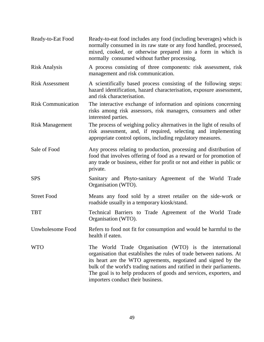| Ready-to-Eat Food         | Ready-to-eat food includes any food (including beverages) which is<br>normally consumed in its raw state or any food handled, processed,<br>mixed, cooked, or otherwise prepared into a form in which is<br>normally consumed without further processing.                                                                                                                               |
|---------------------------|-----------------------------------------------------------------------------------------------------------------------------------------------------------------------------------------------------------------------------------------------------------------------------------------------------------------------------------------------------------------------------------------|
| <b>Risk Analysis</b>      | A process consisting of three components: risk assessment, risk<br>management and risk communication.                                                                                                                                                                                                                                                                                   |
| <b>Risk Assessment</b>    | A scientifically based process consisting of the following steps:<br>hazard identification, hazard characterisation, exposure assessment,<br>and risk characterisation.                                                                                                                                                                                                                 |
| <b>Risk Communication</b> | The interactive exchange of information and opinions concerning<br>risks among risk assessors, risk managers, consumers and other<br>interested parties.                                                                                                                                                                                                                                |
| <b>Risk Management</b>    | The process of weighing policy alternatives in the light of results of<br>risk assessment, and, if required, selecting and implementing<br>appropriate control options, including regulatory measures.                                                                                                                                                                                  |
| Sale of Food              | Any process relating to production, processing and distribution of<br>food that involves offering of food as a reward or for promotion of<br>any trade or business, either for profit or not and either in public or<br>private.                                                                                                                                                        |
| <b>SPS</b>                | Sanitary and Phyto-sanitary Agreement of the World Trade<br>Organisation (WTO).                                                                                                                                                                                                                                                                                                         |
| <b>Street Food</b>        | Means any food sold by a street retailer on the side-work or<br>roadside usually in a temporary kiosk/stand.                                                                                                                                                                                                                                                                            |
| <b>TBT</b>                | Technical Barriers to Trade Agreement of the World Trade<br>Organisation (WTO).                                                                                                                                                                                                                                                                                                         |
| Unwholesome Food          | Refers to food not fit for consumption and would be harmful to the<br>health if eaten.                                                                                                                                                                                                                                                                                                  |
| <b>WTO</b>                | The World Trade Organisation (WTO) is the international<br>organisation that establishes the rules of trade between nations. At<br>its heart are the WTO agreements, negotiated and signed by the<br>bulk of the world's trading nations and ratified in their parliaments.<br>The goal is to help producers of goods and services, exporters, and<br>importers conduct their business. |